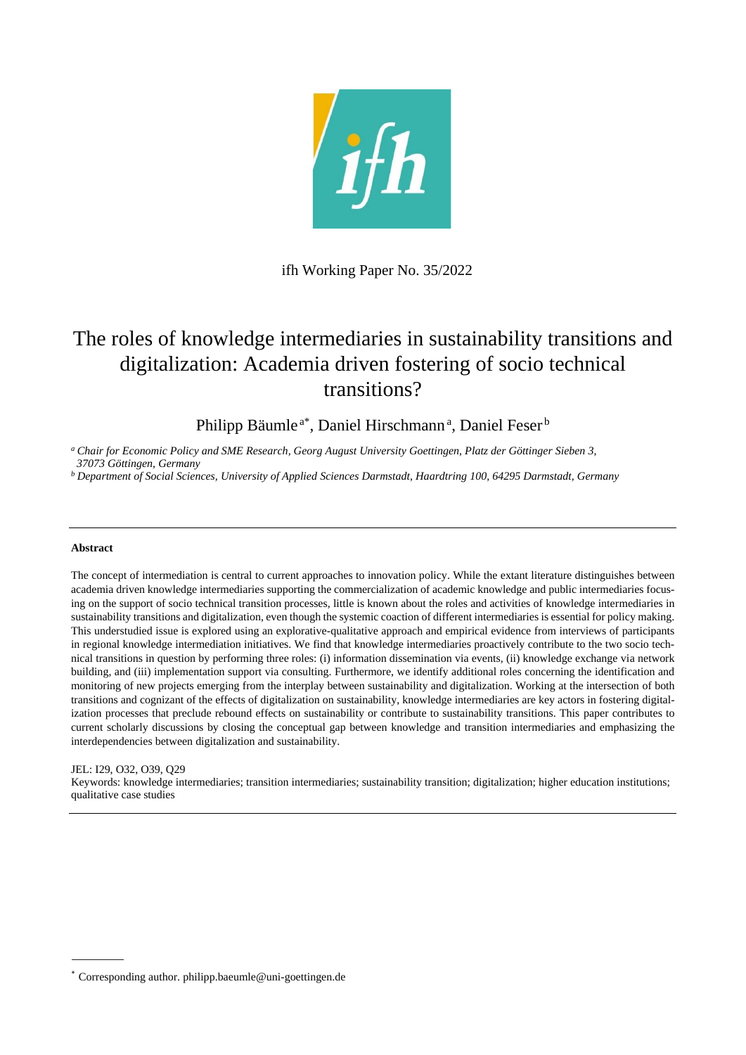

ifh Working Paper No. 35/2022

# The roles of knowledge intermediaries in sustainability transitions and digitalization: Academia driven fostering of socio technical transitions?

Philipp Bäumle<sup>a\*</sup>, Daniel Hirschmann<sup>a</sup>, Daniel Feser<sup>b</sup>

*<sup>a</sup> Chair for Economic Policy and SME Research, Georg August University Goettingen, Platz der Göttinger Sieben 3, 37073 Göttingen, Germany*

*<sup>b</sup> Department of Social Sciences, University of Applied Sciences Darmstadt, Haardtring 100, 64295 Darmstadt, Germany*

#### **Abstract**

The concept of intermediation is central to current approaches to innovation policy. While the extant literature distinguishes between academia driven knowledge intermediaries supporting the commercialization of academic knowledge and public intermediaries focusing on the support of socio technical transition processes, little is known about the roles and activities of knowledge intermediaries in sustainability transitions and digitalization, even though the systemic coaction of different intermediaries is essential for policy making. This understudied issue is explored using an explorative-qualitative approach and empirical evidence from interviews of participants in regional knowledge intermediation initiatives. We find that knowledge intermediaries proactively contribute to the two socio technical transitions in question by performing three roles: (i) information dissemination via events, (ii) knowledge exchange via network building, and (iii) implementation support via consulting. Furthermore, we identify additional roles concerning the identification and monitoring of new projects emerging from the interplay between sustainability and digitalization. Working at the intersection of both transitions and cognizant of the effects of digitalization on sustainability, knowledge intermediaries are key actors in fostering digitalization processes that preclude rebound effects on sustainability or contribute to sustainability transitions. This paper contributes to current scholarly discussions by closing the conceptual gap between knowledge and transition intermediaries and emphasizing the interdependencies between digitalization and sustainability.

#### JEL: I29, O32, O39, Q29

Keywords: knowledge intermediaries; transition intermediaries; sustainability transition; digitalization; higher education institutions; qualitative case studies

<sup>\*</sup> Corresponding author. philipp.baeumle@uni-goettingen.de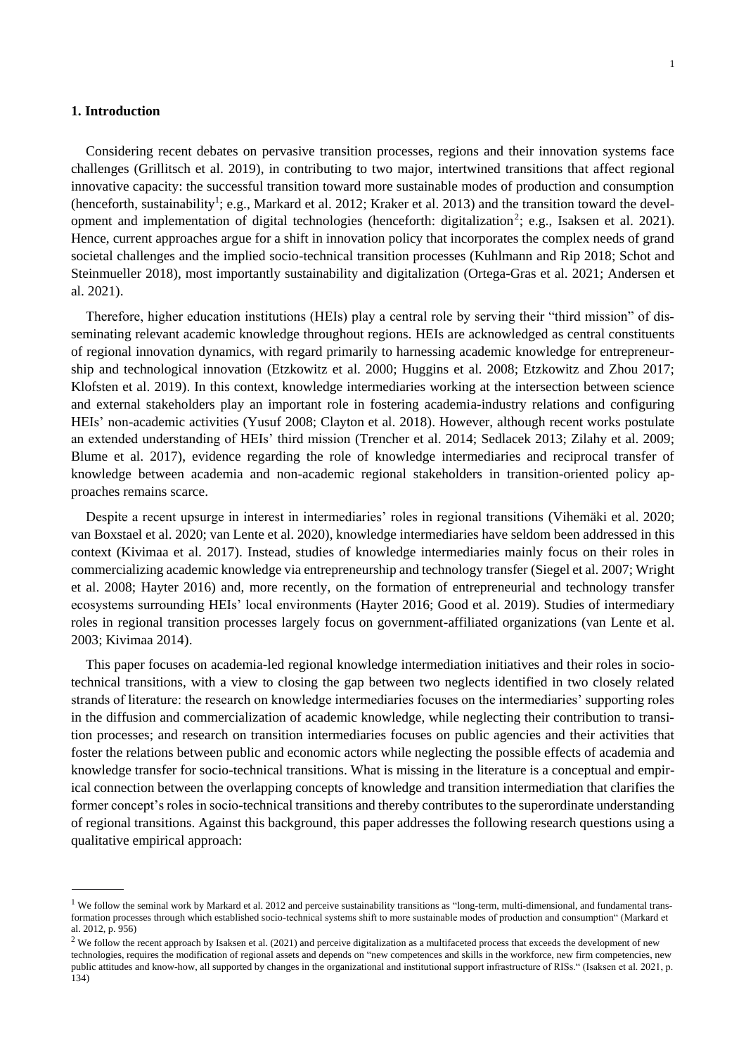### **1. Introduction**

Considering recent debates on pervasive transition processes, regions and their innovation systems face challenges (Grillitsch et al. 2019), in contributing to two major, intertwined transitions that affect regional innovative capacity: the successful transition toward more sustainable modes of production and consumption (henceforth, sustainability<sup>1</sup>; e.g., Markard et al. 2012; Kraker et al. 2013) and the transition toward the development and implementation of digital technologies (henceforth: digitalization<sup>2</sup>; e.g., Isaksen et al. 2021). Hence, current approaches argue for a shift in innovation policy that incorporates the complex needs of grand societal challenges and the implied socio-technical transition processes (Kuhlmann and Rip 2018; Schot and Steinmueller 2018), most importantly sustainability and digitalization (Ortega-Gras et al. 2021; Andersen et al. 2021).

Therefore, higher education institutions (HEIs) play a central role by serving their "third mission" of disseminating relevant academic knowledge throughout regions. HEIs are acknowledged as central constituents of regional innovation dynamics, with regard primarily to harnessing academic knowledge for entrepreneurship and technological innovation (Etzkowitz et al. 2000; Huggins et al. 2008; Etzkowitz and Zhou 2017; Klofsten et al. 2019). In this context, knowledge intermediaries working at the intersection between science and external stakeholders play an important role in fostering academia-industry relations and configuring HEIs' non-academic activities (Yusuf 2008; Clayton et al. 2018). However, although recent works postulate an extended understanding of HEIs' third mission (Trencher et al. 2014; Sedlacek 2013; Zilahy et al. 2009; Blume et al. 2017), evidence regarding the role of knowledge intermediaries and reciprocal transfer of knowledge between academia and non-academic regional stakeholders in transition-oriented policy approaches remains scarce.

Despite a recent upsurge in interest in intermediaries' roles in regional transitions (Vihemäki et al. 2020; van Boxstael et al. 2020; van Lente et al. 2020), knowledge intermediaries have seldom been addressed in this context (Kivimaa et al. 2017). Instead, studies of knowledge intermediaries mainly focus on their roles in commercializing academic knowledge via entrepreneurship and technology transfer (Siegel et al. 2007; Wright et al. 2008; Hayter 2016) and, more recently, on the formation of entrepreneurial and technology transfer ecosystems surrounding HEIs' local environments (Hayter 2016; Good et al. 2019). Studies of intermediary roles in regional transition processes largely focus on government-affiliated organizations (van Lente et al. 2003; Kivimaa 2014).

This paper focuses on academia-led regional knowledge intermediation initiatives and their roles in sociotechnical transitions, with a view to closing the gap between two neglects identified in two closely related strands of literature: the research on knowledge intermediaries focuses on the intermediaries' supporting roles in the diffusion and commercialization of academic knowledge, while neglecting their contribution to transition processes; and research on transition intermediaries focuses on public agencies and their activities that foster the relations between public and economic actors while neglecting the possible effects of academia and knowledge transfer for socio-technical transitions. What is missing in the literature is a conceptual and empirical connection between the overlapping concepts of knowledge and transition intermediation that clarifies the former concept's roles in socio-technical transitions and thereby contributes to the superordinate understanding of regional transitions. Against this background, this paper addresses the following research questions using a qualitative empirical approach:

<sup>&</sup>lt;sup>1</sup> We follow the seminal work by Markard et al. 2012 and perceive sustainability transitions as "long-term, multi-dimensional, and fundamental transformation processes through which established socio-technical systems shift to more sustainable modes of production and consumption" (Markard et al. 2012, p. 956)

 $2$  We follow the recent approach by Isaksen et al. (2021) and perceive digitalization as a multifaceted process that exceeds the development of new technologies, requires the modification of regional assets and depends on "new competences and skills in the workforce, new firm competencies, new public attitudes and know-how, all supported by changes in the organizational and institutional support infrastructure of RISs." (Isaksen et al. 2021, p. 134)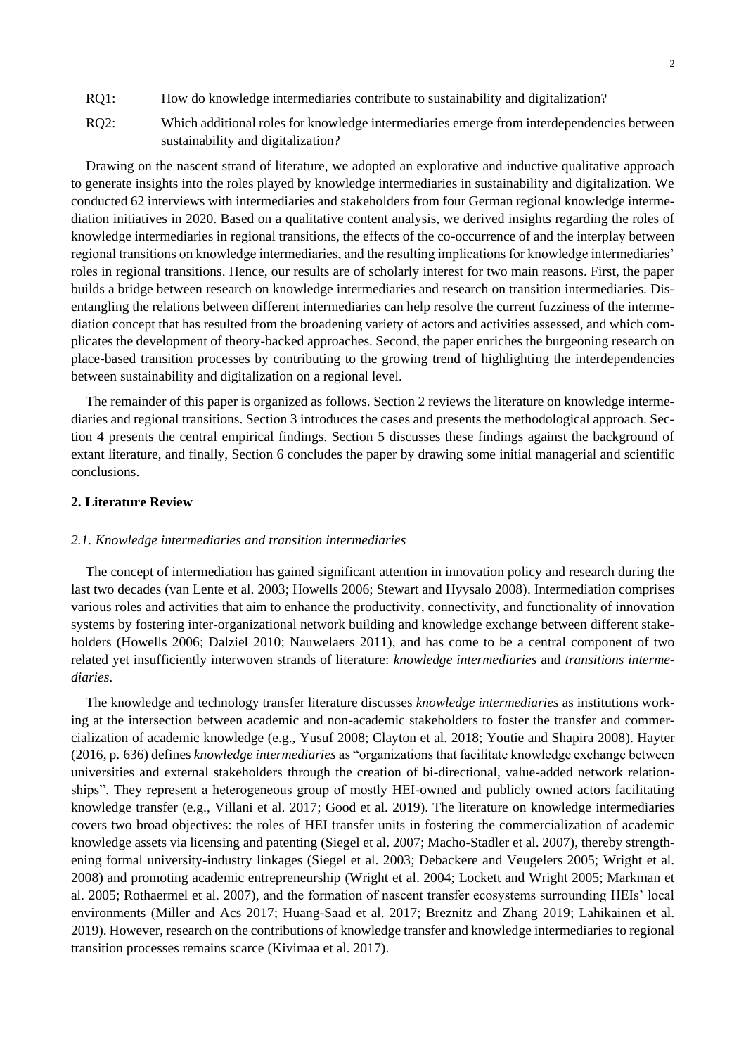- RQ1: How do knowledge intermediaries contribute to sustainability and digitalization?
- RQ2: Which additional roles for knowledge intermediaries emerge from interdependencies between sustainability and digitalization?

Drawing on the nascent strand of literature, we adopted an explorative and inductive qualitative approach to generate insights into the roles played by knowledge intermediaries in sustainability and digitalization. We conducted 62 interviews with intermediaries and stakeholders from four German regional knowledge intermediation initiatives in 2020. Based on a qualitative content analysis, we derived insights regarding the roles of knowledge intermediaries in regional transitions, the effects of the co-occurrence of and the interplay between regional transitions on knowledge intermediaries, and the resulting implications for knowledge intermediaries' roles in regional transitions. Hence, our results are of scholarly interest for two main reasons. First, the paper builds a bridge between research on knowledge intermediaries and research on transition intermediaries. Disentangling the relations between different intermediaries can help resolve the current fuzziness of the intermediation concept that has resulted from the broadening variety of actors and activities assessed, and which complicates the development of theory-backed approaches. Second, the paper enriches the burgeoning research on place-based transition processes by contributing to the growing trend of highlighting the interdependencies between sustainability and digitalization on a regional level.

The remainder of this paper is organized as follows. Section 2 reviews the literature on knowledge intermediaries and regional transitions. Section 3 introduces the cases and presents the methodological approach. Section 4 presents the central empirical findings. Section 5 discusses these findings against the background of extant literature, and finally, Section 6 concludes the paper by drawing some initial managerial and scientific conclusions.

# **2. Literature Review**

#### *2.1. Knowledge intermediaries and transition intermediaries*

The concept of intermediation has gained significant attention in innovation policy and research during the last two decades (van Lente et al. 2003; Howells 2006; Stewart and Hyysalo 2008). Intermediation comprises various roles and activities that aim to enhance the productivity, connectivity, and functionality of innovation systems by fostering inter-organizational network building and knowledge exchange between different stakeholders (Howells 2006; Dalziel 2010; Nauwelaers 2011), and has come to be a central component of two related yet insufficiently interwoven strands of literature: *knowledge intermediaries* and *transitions intermediaries*.

The knowledge and technology transfer literature discusses *knowledge intermediaries* as institutions working at the intersection between academic and non-academic stakeholders to foster the transfer and commercialization of academic knowledge (e.g., Yusuf 2008; Clayton et al. 2018; Youtie and Shapira 2008). Hayter (2016, p. 636) defines *knowledge intermediaries* as "organizations that facilitate knowledge exchange between universities and external stakeholders through the creation of bi-directional, value-added network relationships". They represent a heterogeneous group of mostly HEI-owned and publicly owned actors facilitating knowledge transfer (e.g., Villani et al. 2017; Good et al. 2019). The literature on knowledge intermediaries covers two broad objectives: the roles of HEI transfer units in fostering the commercialization of academic knowledge assets via licensing and patenting (Siegel et al. 2007; Macho-Stadler et al. 2007), thereby strengthening formal university-industry linkages (Siegel et al. 2003; Debackere and Veugelers 2005; Wright et al. 2008) and promoting academic entrepreneurship (Wright et al. 2004; Lockett and Wright 2005; Markman et al. 2005; Rothaermel et al. 2007), and the formation of nascent transfer ecosystems surrounding HEIs' local environments (Miller and Acs 2017; Huang-Saad et al. 2017; Breznitz and Zhang 2019; Lahikainen et al. 2019). However, research on the contributions of knowledge transfer and knowledge intermediaries to regional transition processes remains scarce (Kivimaa et al. 2017).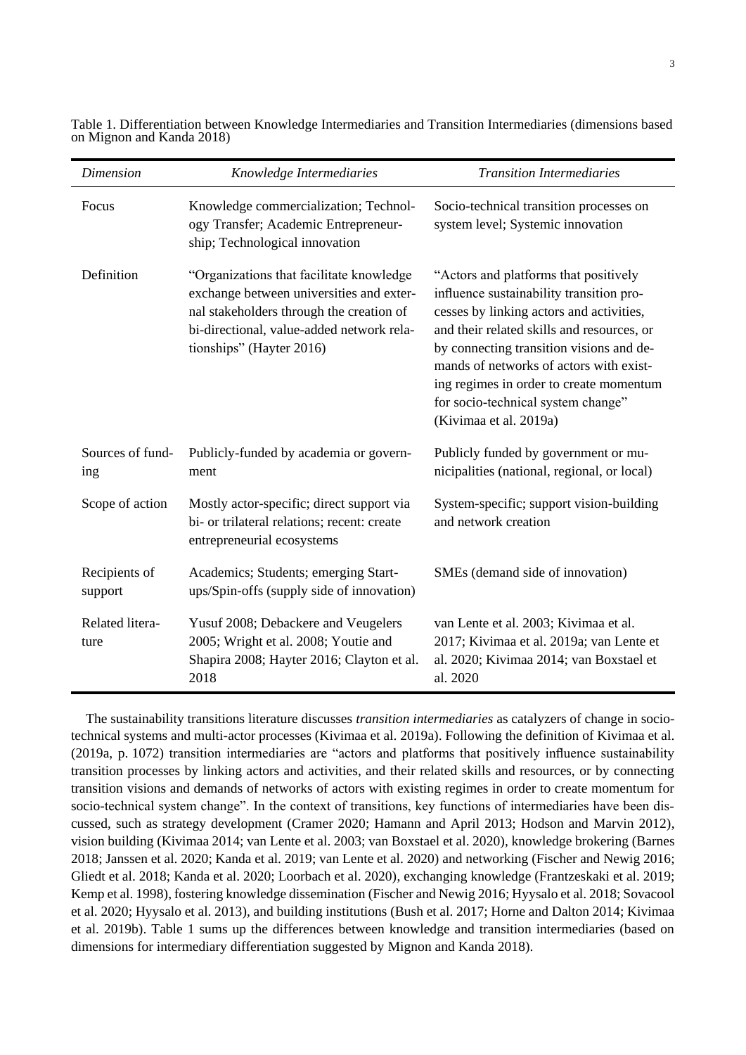| <b>Dimension</b>         | Knowledge Intermediaries                                                                                                                                                                                  | <b>Transition Intermediaries</b>                                                                                                                                                                                                                                                                                                                                              |
|--------------------------|-----------------------------------------------------------------------------------------------------------------------------------------------------------------------------------------------------------|-------------------------------------------------------------------------------------------------------------------------------------------------------------------------------------------------------------------------------------------------------------------------------------------------------------------------------------------------------------------------------|
| Focus                    | Knowledge commercialization; Technol-<br>ogy Transfer; Academic Entrepreneur-<br>ship; Technological innovation                                                                                           | Socio-technical transition processes on<br>system level; Systemic innovation                                                                                                                                                                                                                                                                                                  |
| Definition               | "Organizations that facilitate knowledge<br>exchange between universities and exter-<br>nal stakeholders through the creation of<br>bi-directional, value-added network rela-<br>tionships" (Hayter 2016) | "Actors and platforms that positively<br>influence sustainability transition pro-<br>cesses by linking actors and activities,<br>and their related skills and resources, or<br>by connecting transition visions and de-<br>mands of networks of actors with exist-<br>ing regimes in order to create momentum<br>for socio-technical system change"<br>(Kivimaa et al. 2019a) |
| Sources of fund-<br>ing  | Publicly-funded by academia or govern-<br>ment                                                                                                                                                            | Publicly funded by government or mu-<br>nicipalities (national, regional, or local)                                                                                                                                                                                                                                                                                           |
| Scope of action          | Mostly actor-specific; direct support via<br>bi- or trilateral relations; recent: create<br>entrepreneurial ecosystems                                                                                    | System-specific; support vision-building<br>and network creation                                                                                                                                                                                                                                                                                                              |
| Recipients of<br>support | Academics; Students; emerging Start-<br>ups/Spin-offs (supply side of innovation)                                                                                                                         | SMEs (demand side of innovation)                                                                                                                                                                                                                                                                                                                                              |
| Related litera-<br>ture  | Yusuf 2008; Debackere and Veugelers<br>2005; Wright et al. 2008; Youtie and<br>Shapira 2008; Hayter 2016; Clayton et al.<br>2018                                                                          | van Lente et al. 2003; Kivimaa et al.<br>2017; Kivimaa et al. 2019a; van Lente et<br>al. 2020; Kivimaa 2014; van Boxstael et<br>al. 2020                                                                                                                                                                                                                                      |

<span id="page-3-0"></span>Table 1. Differentiation between Knowledge Intermediaries and Transition Intermediaries (dimensions based on Mignon and Kanda 2018)

The sustainability transitions literature discusses *transition intermediaries* as catalyzers of change in sociotechnical systems and multi-actor processes (Kivimaa et al. 2019a). Following the definition of Kivimaa et al. (2019a, p. 1072) transition intermediaries are "actors and platforms that positively influence sustainability transition processes by linking actors and activities, and their related skills and resources, or by connecting transition visions and demands of networks of actors with existing regimes in order to create momentum for socio-technical system change". In the context of transitions, key functions of intermediaries have been discussed, such as strategy development (Cramer 2020; Hamann and April 2013; Hodson and Marvin 2012), vision building (Kivimaa 2014; van Lente et al. 2003; van Boxstael et al. 2020), knowledge brokering (Barnes 2018; Janssen et al. 2020; Kanda et al. 2019; van Lente et al. 2020) and networking (Fischer and Newig 2016; Gliedt et al. 2018; Kanda et al. 2020; Loorbach et al. 2020), exchanging knowledge (Frantzeskaki et al. 2019; Kemp et al. 1998), fostering knowledge dissemination (Fischer and Newig 2016; Hyysalo et al. 2018; Sovacool et al. 2020; Hyysalo et al. 2013), and building institutions (Bush et al. 2017; Horne and Dalton 2014; Kivimaa et al. 2019b). [Table 1](#page-3-0) sums up the differences between knowledge and transition intermediaries (based on dimensions for intermediary differentiation suggested by Mignon and Kanda 2018).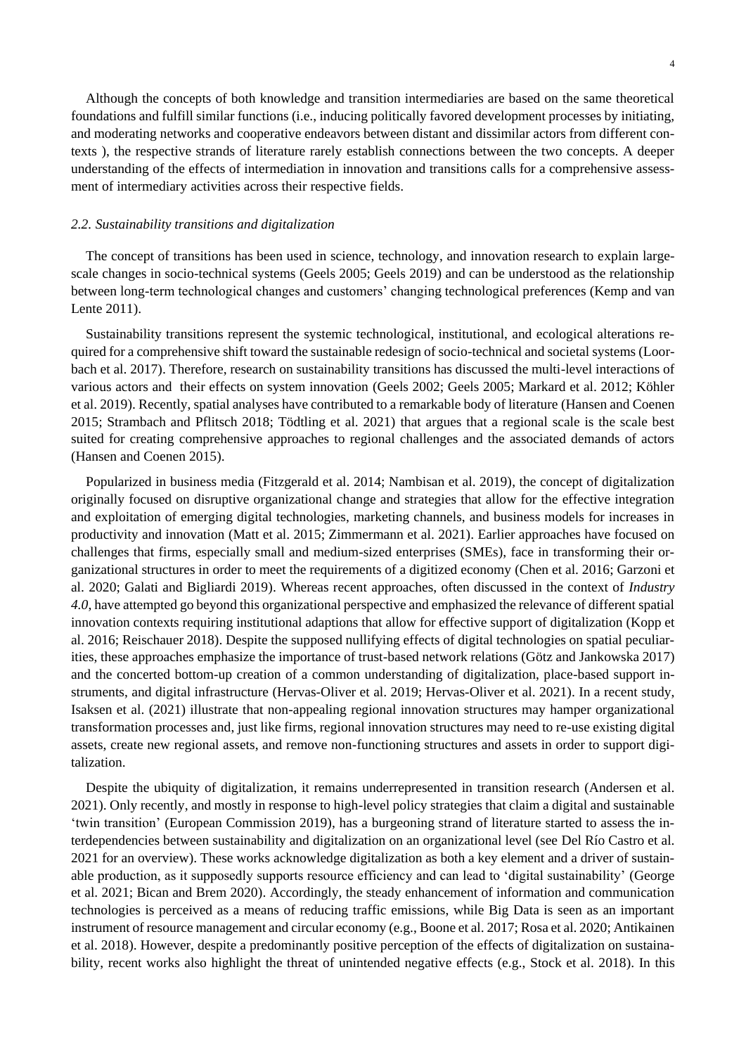Although the concepts of both knowledge and transition intermediaries are based on the same theoretical foundations and fulfill similar functions (i.e., inducing politically favored development processes by initiating, and moderating networks and cooperative endeavors between distant and dissimilar actors from different contexts ), the respective strands of literature rarely establish connections between the two concepts. A deeper understanding of the effects of intermediation in innovation and transitions calls for a comprehensive assessment of intermediary activities across their respective fields.

### *2.2. Sustainability transitions and digitalization*

The concept of transitions has been used in science, technology, and innovation research to explain largescale changes in socio-technical systems (Geels 2005; Geels 2019) and can be understood as the relationship between long-term technological changes and customers' changing technological preferences (Kemp and van Lente 2011).

Sustainability transitions represent the systemic technological, institutional, and ecological alterations required for a comprehensive shift toward the sustainable redesign of socio-technical and societal systems (Loorbach et al. 2017). Therefore, research on sustainability transitions has discussed the multi-level interactions of various actors and their effects on system innovation (Geels 2002; Geels 2005; Markard et al. 2012; Köhler et al. 2019). Recently, spatial analyses have contributed to a remarkable body of literature (Hansen and Coenen 2015; Strambach and Pflitsch 2018; Tödtling et al. 2021) that argues that a regional scale is the scale best suited for creating comprehensive approaches to regional challenges and the associated demands of actors (Hansen and Coenen 2015).

Popularized in business media (Fitzgerald et al. 2014; Nambisan et al. 2019), the concept of digitalization originally focused on disruptive organizational change and strategies that allow for the effective integration and exploitation of emerging digital technologies, marketing channels, and business models for increases in productivity and innovation (Matt et al. 2015; Zimmermann et al. 2021). Earlier approaches have focused on challenges that firms, especially small and medium-sized enterprises (SMEs), face in transforming their organizational structures in order to meet the requirements of a digitized economy (Chen et al. 2016; Garzoni et al. 2020; Galati and Bigliardi 2019). Whereas recent approaches, often discussed in the context of *Industry 4.0*, have attempted go beyond this organizational perspective and emphasized the relevance of different spatial innovation contexts requiring institutional adaptions that allow for effective support of digitalization (Kopp et al. 2016; Reischauer 2018). Despite the supposed nullifying effects of digital technologies on spatial peculiarities, these approaches emphasize the importance of trust-based network relations (Götz and Jankowska 2017) and the concerted bottom-up creation of a common understanding of digitalization, place-based support instruments, and digital infrastructure (Hervas-Oliver et al. 2019; Hervas-Oliver et al. 2021). In a recent study, Isaksen et al. (2021) illustrate that non-appealing regional innovation structures may hamper organizational transformation processes and, just like firms, regional innovation structures may need to re-use existing digital assets, create new regional assets, and remove non-functioning structures and assets in order to support digitalization.

Despite the ubiquity of digitalization, it remains underrepresented in transition research (Andersen et al. 2021). Only recently, and mostly in response to high-level policy strategies that claim a digital and sustainable 'twin transition' (European Commission 2019), has a burgeoning strand of literature started to assess the interdependencies between sustainability and digitalization on an organizational level (see Del Río Castro et al. 2021 for an overview). These works acknowledge digitalization as both a key element and a driver of sustainable production, as it supposedly supports resource efficiency and can lead to 'digital sustainability' (George et al. 2021; Bican and Brem 2020). Accordingly, the steady enhancement of information and communication technologies is perceived as a means of reducing traffic emissions, while Big Data is seen as an important instrument of resource management and circular economy (e.g., Boone et al. 2017; Rosa et al. 2020; Antikainen et al. 2018). However, despite a predominantly positive perception of the effects of digitalization on sustainability, recent works also highlight the threat of unintended negative effects (e.g., Stock et al. 2018). In this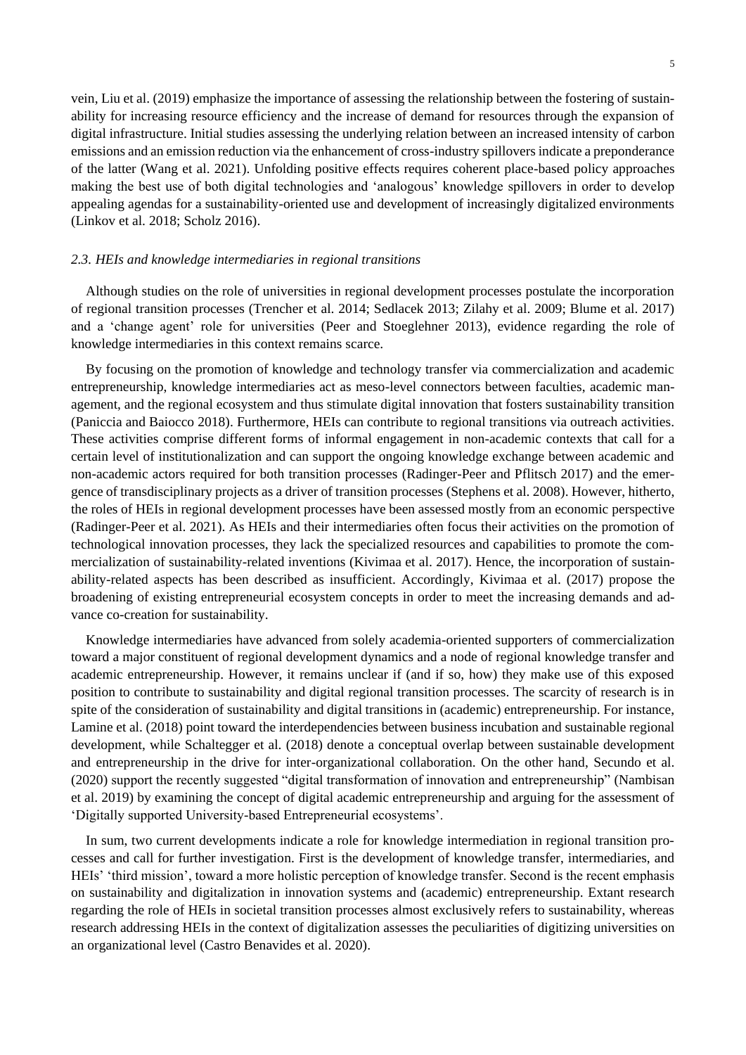vein, Liu et al. (2019) emphasize the importance of assessing the relationship between the fostering of sustainability for increasing resource efficiency and the increase of demand for resources through the expansion of digital infrastructure. Initial studies assessing the underlying relation between an increased intensity of carbon emissions and an emission reduction via the enhancement of cross-industry spillovers indicate a preponderance of the latter (Wang et al. 2021). Unfolding positive effects requires coherent place-based policy approaches making the best use of both digital technologies and 'analogous' knowledge spillovers in order to develop appealing agendas for a sustainability-oriented use and development of increasingly digitalized environments (Linkov et al. 2018; Scholz 2016).

#### *2.3. HEIs and knowledge intermediaries in regional transitions*

Although studies on the role of universities in regional development processes postulate the incorporation of regional transition processes (Trencher et al. 2014; Sedlacek 2013; Zilahy et al. 2009; Blume et al. 2017) and a 'change agent' role for universities (Peer and Stoeglehner 2013), evidence regarding the role of knowledge intermediaries in this context remains scarce.

By focusing on the promotion of knowledge and technology transfer via commercialization and academic entrepreneurship, knowledge intermediaries act as meso-level connectors between faculties, academic management, and the regional ecosystem and thus stimulate digital innovation that fosters sustainability transition (Paniccia and Baiocco 2018). Furthermore, HEIs can contribute to regional transitions via outreach activities. These activities comprise different forms of informal engagement in non-academic contexts that call for a certain level of institutionalization and can support the ongoing knowledge exchange between academic and non-academic actors required for both transition processes (Radinger-Peer and Pflitsch 2017) and the emergence of transdisciplinary projects as a driver of transition processes (Stephens et al. 2008). However, hitherto, the roles of HEIs in regional development processes have been assessed mostly from an economic perspective (Radinger-Peer et al. 2021). As HEIs and their intermediaries often focus their activities on the promotion of technological innovation processes, they lack the specialized resources and capabilities to promote the commercialization of sustainability-related inventions (Kivimaa et al. 2017). Hence, the incorporation of sustainability-related aspects has been described as insufficient. Accordingly, Kivimaa et al. (2017) propose the broadening of existing entrepreneurial ecosystem concepts in order to meet the increasing demands and advance co-creation for sustainability.

Knowledge intermediaries have advanced from solely academia-oriented supporters of commercialization toward a major constituent of regional development dynamics and a node of regional knowledge transfer and academic entrepreneurship. However, it remains unclear if (and if so, how) they make use of this exposed position to contribute to sustainability and digital regional transition processes. The scarcity of research is in spite of the consideration of sustainability and digital transitions in (academic) entrepreneurship. For instance, Lamine et al. (2018) point toward the interdependencies between business incubation and sustainable regional development, while Schaltegger et al. (2018) denote a conceptual overlap between sustainable development and entrepreneurship in the drive for inter-organizational collaboration. On the other hand, Secundo et al. (2020) support the recently suggested "digital transformation of innovation and entrepreneurship" (Nambisan et al. 2019) by examining the concept of digital academic entrepreneurship and arguing for the assessment of 'Digitally supported University-based Entrepreneurial ecosystems'.

In sum, two current developments indicate a role for knowledge intermediation in regional transition processes and call for further investigation. First is the development of knowledge transfer, intermediaries, and HEIs' 'third mission', toward a more holistic perception of knowledge transfer. Second is the recent emphasis on sustainability and digitalization in innovation systems and (academic) entrepreneurship. Extant research regarding the role of HEIs in societal transition processes almost exclusively refers to sustainability, whereas research addressing HEIs in the context of digitalization assesses the peculiarities of digitizing universities on an organizational level (Castro Benavides et al. 2020).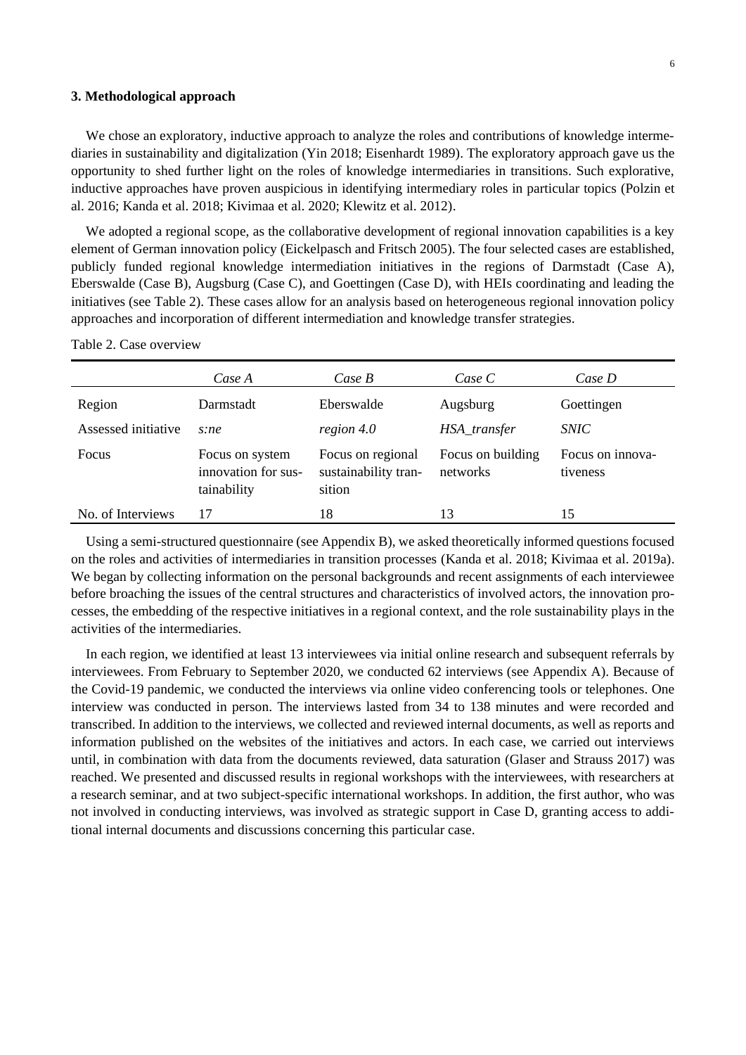# **3. Methodological approach**

We chose an exploratory, inductive approach to analyze the roles and contributions of knowledge intermediaries in sustainability and digitalization (Yin 2018; Eisenhardt 1989). The exploratory approach gave us the opportunity to shed further light on the roles of knowledge intermediaries in transitions. Such explorative, inductive approaches have proven auspicious in identifying intermediary roles in particular topics (Polzin et al. 2016; Kanda et al. 2018; Kivimaa et al. 2020; Klewitz et al. 2012).

We adopted a regional scope, as the collaborative development of regional innovation capabilities is a key element of German innovation policy (Eickelpasch and Fritsch 2005). The four selected cases are established, publicly funded regional knowledge intermediation initiatives in the regions of Darmstadt (Case A), Eberswalde (Case B), Augsburg (Case C), and Goettingen (Case D), with HEIs coordinating and leading the initiatives (see [Table 2\)](#page-6-0). These cases allow for an analysis based on heterogeneous regional innovation policy approaches and incorporation of different intermediation and knowledge transfer strategies.

|                     | Case A                                                | Case B                                              | Case C                        | Case D                       |
|---------------------|-------------------------------------------------------|-----------------------------------------------------|-------------------------------|------------------------------|
| Region              | Darmstadt                                             | Eberswalde                                          | Augsburg                      | Goettingen                   |
| Assessed initiative | s:ne                                                  | region 4.0                                          | HSA_transfer                  | <i>SNIC</i>                  |
| <b>Focus</b>        | Focus on system<br>innovation for sus-<br>tainability | Focus on regional<br>sustainability tran-<br>sition | Focus on building<br>networks | Focus on innova-<br>tiveness |
| No. of Interviews   | 17                                                    | 18                                                  | 13                            | 15                           |

<span id="page-6-0"></span>Table 2. Case overview

Using a semi-structured questionnaire (see Appendix B), we asked theoretically informed questions focused on the roles and activities of intermediaries in transition processes (Kanda et al. 2018; Kivimaa et al. 2019a). We began by collecting information on the personal backgrounds and recent assignments of each interviewee before broaching the issues of the central structures and characteristics of involved actors, the innovation processes, the embedding of the respective initiatives in a regional context, and the role sustainability plays in the activities of the intermediaries.

In each region, we identified at least 13 interviewees via initial online research and subsequent referrals by interviewees. From February to September 2020, we conducted 62 interviews (see Appendix A). Because of the Covid-19 pandemic, we conducted the interviews via online video conferencing tools or telephones. One interview was conducted in person. The interviews lasted from 34 to 138 minutes and were recorded and transcribed. In addition to the interviews, we collected and reviewed internal documents, as well as reports and information published on the websites of the initiatives and actors. In each case, we carried out interviews until, in combination with data from the documents reviewed, data saturation (Glaser and Strauss 2017) was reached. We presented and discussed results in regional workshops with the interviewees, with researchers at a research seminar, and at two subject-specific international workshops. In addition, the first author, who was not involved in conducting interviews, was involved as strategic support in Case D, granting access to additional internal documents and discussions concerning this particular case.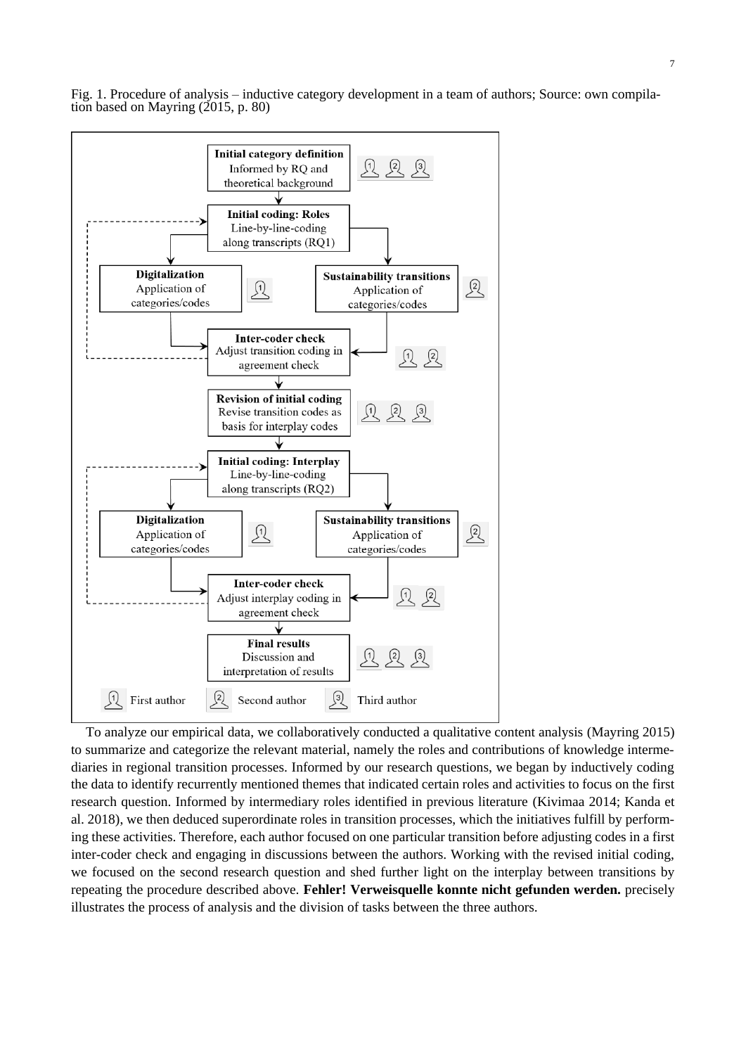7





To analyze our empirical data, we collaboratively conducted a qualitative content analysis (Mayring 2015) to summarize and categorize the relevant material, namely the roles and contributions of knowledge intermediaries in regional transition processes. Informed by our research questions, we began by inductively coding the data to identify recurrently mentioned themes that indicated certain roles and activities to focus on the first research question. Informed by intermediary roles identified in previous literature (Kivimaa 2014; Kanda et al. 2018), we then deduced superordinate roles in transition processes, which the initiatives fulfill by performing these activities. Therefore, each author focused on one particular transition before adjusting codes in a first inter-coder check and engaging in discussions between the authors. Working with the revised initial coding, we focused on the second research question and shed further light on the interplay between transitions by repeating the procedure described above. **Fehler! Verweisquelle konnte nicht gefunden werden.** precisely illustrates the process of analysis and the division of tasks between the three authors.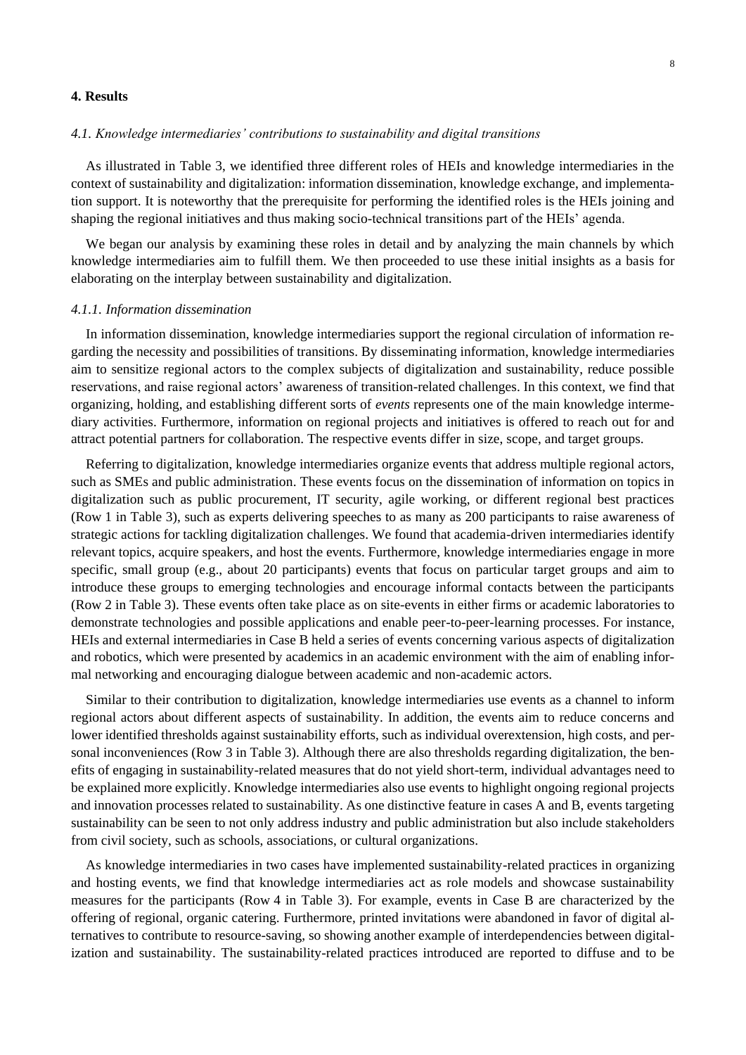# **4. Results**

# *4.1. Knowledge intermediaries' contributions to sustainability and digital transitions*

As illustrated in Table 3, we identified three different roles of HEIs and knowledge intermediaries in the context of sustainability and digitalization: information dissemination, knowledge exchange, and implementation support. It is noteworthy that the prerequisite for performing the identified roles is the HEIs joining and shaping the regional initiatives and thus making socio-technical transitions part of the HEIs' agenda.

We began our analysis by examining these roles in detail and by analyzing the main channels by which knowledge intermediaries aim to fulfill them. We then proceeded to use these initial insights as a basis for elaborating on the interplay between sustainability and digitalization.

#### *4.1.1. Information dissemination*

In information dissemination, knowledge intermediaries support the regional circulation of information regarding the necessity and possibilities of transitions. By disseminating information, knowledge intermediaries aim to sensitize regional actors to the complex subjects of digitalization and sustainability, reduce possible reservations, and raise regional actors' awareness of transition-related challenges. In this context, we find that organizing, holding, and establishing different sorts of *events* represents one of the main knowledge intermediary activities. Furthermore, information on regional projects and initiatives is offered to reach out for and attract potential partners for collaboration. The respective events differ in size, scope, and target groups.

Referring to digitalization, knowledge intermediaries organize events that address multiple regional actors, such as SMEs and public administration. These events focus on the dissemination of information on topics in digitalization such as public procurement, IT security, agile working, or different regional best practices (Row 1 in Table 3), such as experts delivering speeches to as many as 200 participants to raise awareness of strategic actions for tackling digitalization challenges. We found that academia-driven intermediaries identify relevant topics, acquire speakers, and host the events. Furthermore, knowledge intermediaries engage in more specific, small group (e.g., about 20 participants) events that focus on particular target groups and aim to introduce these groups to emerging technologies and encourage informal contacts between the participants (Row 2 in Table 3). These events often take place as on site-events in either firms or academic laboratories to demonstrate technologies and possible applications and enable peer-to-peer-learning processes. For instance, HEIs and external intermediaries in Case B held a series of events concerning various aspects of digitalization and robotics, which were presented by academics in an academic environment with the aim of enabling informal networking and encouraging dialogue between academic and non-academic actors.

Similar to their contribution to digitalization, knowledge intermediaries use events as a channel to inform regional actors about different aspects of sustainability. In addition, the events aim to reduce concerns and lower identified thresholds against sustainability efforts, such as individual overextension, high costs, and personal inconveniences (Row 3 in Table 3). Although there are also thresholds regarding digitalization, the benefits of engaging in sustainability-related measures that do not yield short-term, individual advantages need to be explained more explicitly. Knowledge intermediaries also use events to highlight ongoing regional projects and innovation processes related to sustainability. As one distinctive feature in cases A and B, events targeting sustainability can be seen to not only address industry and public administration but also include stakeholders from civil society, such as schools, associations, or cultural organizations.

As knowledge intermediaries in two cases have implemented sustainability-related practices in organizing and hosting events, we find that knowledge intermediaries act as role models and showcase sustainability measures for the participants (Row 4 in Table 3). For example, events in Case B are characterized by the offering of regional, organic catering. Furthermore, printed invitations were abandoned in favor of digital alternatives to contribute to resource-saving, so showing another example of interdependencies between digitalization and sustainability. The sustainability-related practices introduced are reported to diffuse and to be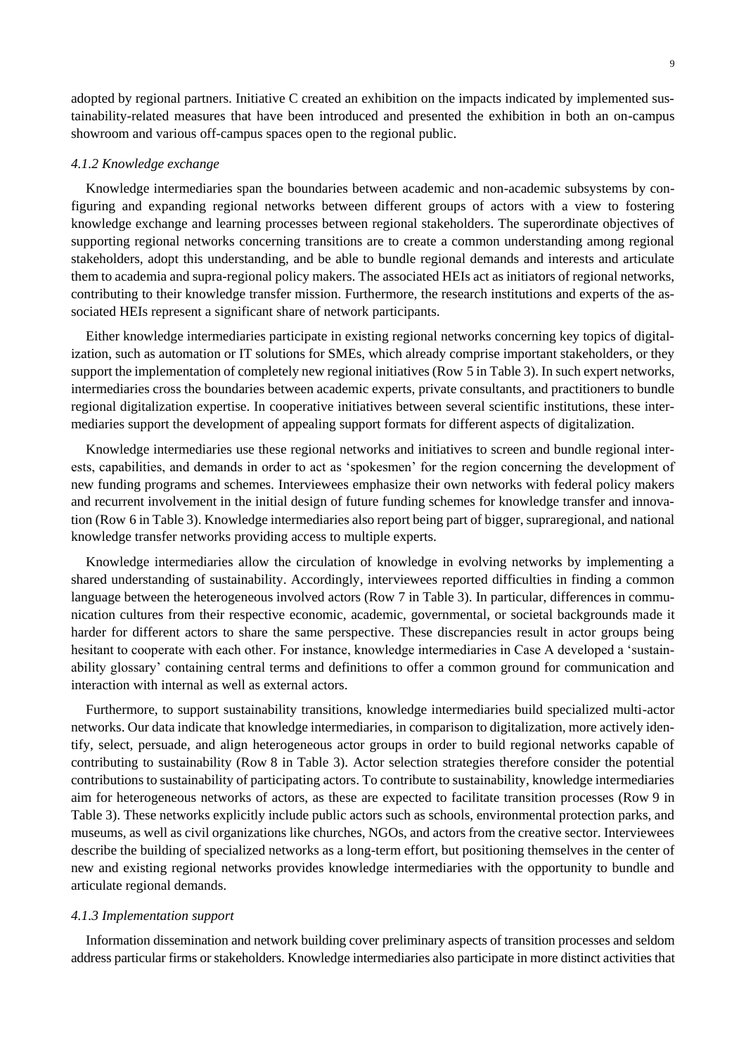adopted by regional partners. Initiative C created an exhibition on the impacts indicated by implemented sustainability-related measures that have been introduced and presented the exhibition in both an on-campus showroom and various off-campus spaces open to the regional public.

#### *4.1.2 Knowledge exchange*

Knowledge intermediaries span the boundaries between academic and non-academic subsystems by configuring and expanding regional networks between different groups of actors with a view to fostering knowledge exchange and learning processes between regional stakeholders. The superordinate objectives of supporting regional networks concerning transitions are to create a common understanding among regional stakeholders, adopt this understanding, and be able to bundle regional demands and interests and articulate them to academia and supra-regional policy makers. The associated HEIs act as initiators of regional networks, contributing to their knowledge transfer mission. Furthermore, the research institutions and experts of the associated HEIs represent a significant share of network participants.

Either knowledge intermediaries participate in existing regional networks concerning key topics of digitalization, such as automation or IT solutions for SMEs, which already comprise important stakeholders, or they support the implementation of completely new regional initiatives (Row 5 in Table 3). In such expert networks, intermediaries cross the boundaries between academic experts, private consultants, and practitioners to bundle regional digitalization expertise. In cooperative initiatives between several scientific institutions, these intermediaries support the development of appealing support formats for different aspects of digitalization.

Knowledge intermediaries use these regional networks and initiatives to screen and bundle regional interests, capabilities, and demands in order to act as 'spokesmen' for the region concerning the development of new funding programs and schemes. Interviewees emphasize their own networks with federal policy makers and recurrent involvement in the initial design of future funding schemes for knowledge transfer and innovation (Row 6 in Table 3). Knowledge intermediaries also report being part of bigger, supraregional, and national knowledge transfer networks providing access to multiple experts.

Knowledge intermediaries allow the circulation of knowledge in evolving networks by implementing a shared understanding of sustainability. Accordingly, interviewees reported difficulties in finding a common language between the heterogeneous involved actors (Row 7 in Table 3). In particular, differences in communication cultures from their respective economic, academic, governmental, or societal backgrounds made it harder for different actors to share the same perspective. These discrepancies result in actor groups being hesitant to cooperate with each other. For instance, knowledge intermediaries in Case A developed a 'sustainability glossary' containing central terms and definitions to offer a common ground for communication and interaction with internal as well as external actors.

Furthermore, to support sustainability transitions, knowledge intermediaries build specialized multi-actor networks. Our data indicate that knowledge intermediaries, in comparison to digitalization, more actively identify, select, persuade, and align heterogeneous actor groups in order to build regional networks capable of contributing to sustainability (Row 8 in Table 3). Actor selection strategies therefore consider the potential contributions to sustainability of participating actors. To contribute to sustainability, knowledge intermediaries aim for heterogeneous networks of actors, as these are expected to facilitate transition processes (Row 9 in Table 3). These networks explicitly include public actors such as schools, environmental protection parks, and museums, as well as civil organizations like churches, NGOs, and actors from the creative sector. Interviewees describe the building of specialized networks as a long-term effort, but positioning themselves in the center of new and existing regional networks provides knowledge intermediaries with the opportunity to bundle and articulate regional demands.

#### *4.1.3 Implementation support*

Information dissemination and network building cover preliminary aspects of transition processes and seldom address particular firms or stakeholders. Knowledge intermediaries also participate in more distinct activities that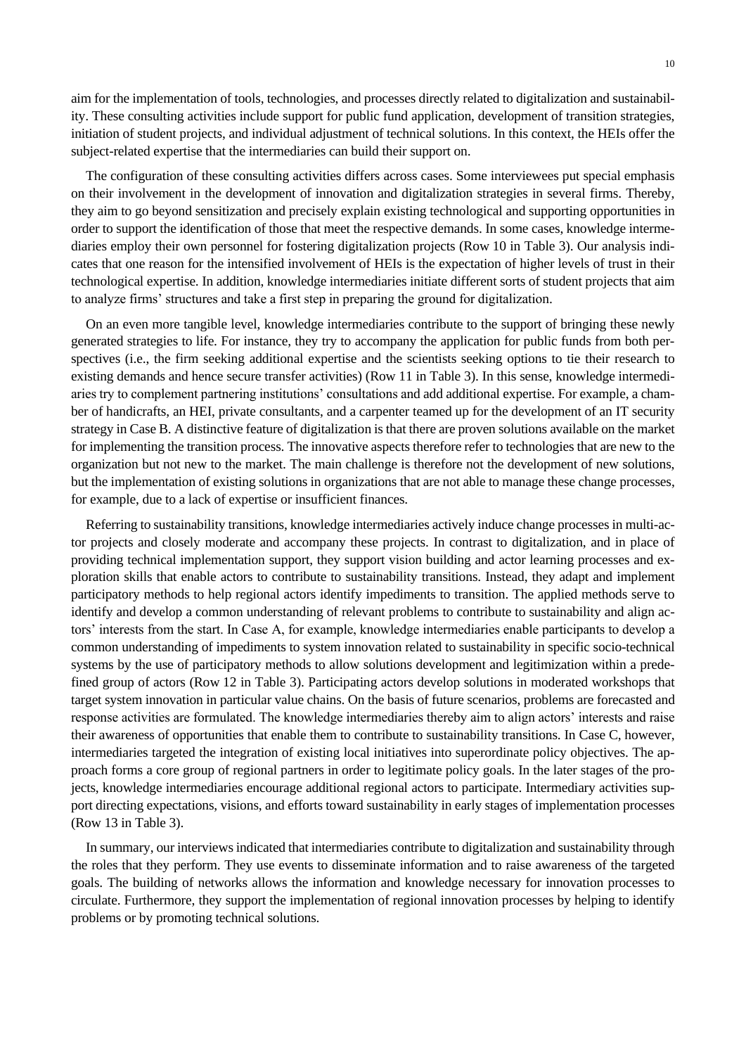aim for the implementation of tools, technologies, and processes directly related to digitalization and sustainability. These consulting activities include support for public fund application, development of transition strategies, initiation of student projects, and individual adjustment of technical solutions. In this context, the HEIs offer the subject-related expertise that the intermediaries can build their support on.

The configuration of these consulting activities differs across cases. Some interviewees put special emphasis on their involvement in the development of innovation and digitalization strategies in several firms. Thereby, they aim to go beyond sensitization and precisely explain existing technological and supporting opportunities in order to support the identification of those that meet the respective demands. In some cases, knowledge intermediaries employ their own personnel for fostering digitalization projects (Row 10 in Table 3). Our analysis indicates that one reason for the intensified involvement of HEIs is the expectation of higher levels of trust in their technological expertise. In addition, knowledge intermediaries initiate different sorts of student projects that aim to analyze firms' structures and take a first step in preparing the ground for digitalization.

On an even more tangible level, knowledge intermediaries contribute to the support of bringing these newly generated strategies to life. For instance, they try to accompany the application for public funds from both perspectives (i.e., the firm seeking additional expertise and the scientists seeking options to tie their research to existing demands and hence secure transfer activities) (Row 11 in Table 3). In this sense, knowledge intermediaries try to complement partnering institutions' consultations and add additional expertise. For example, a chamber of handicrafts, an HEI, private consultants, and a carpenter teamed up for the development of an IT security strategy in Case B. A distinctive feature of digitalization is that there are proven solutions available on the market for implementing the transition process. The innovative aspects therefore refer to technologies that are new to the organization but not new to the market. The main challenge is therefore not the development of new solutions, but the implementation of existing solutions in organizations that are not able to manage these change processes, for example, due to a lack of expertise or insufficient finances.

Referring to sustainability transitions, knowledge intermediaries actively induce change processes in multi-actor projects and closely moderate and accompany these projects. In contrast to digitalization, and in place of providing technical implementation support, they support vision building and actor learning processes and exploration skills that enable actors to contribute to sustainability transitions. Instead, they adapt and implement participatory methods to help regional actors identify impediments to transition. The applied methods serve to identify and develop a common understanding of relevant problems to contribute to sustainability and align actors' interests from the start. In Case A, for example, knowledge intermediaries enable participants to develop a common understanding of impediments to system innovation related to sustainability in specific socio-technical systems by the use of participatory methods to allow solutions development and legitimization within a predefined group of actors (Row 12 in Table 3). Participating actors develop solutions in moderated workshops that target system innovation in particular value chains. On the basis of future scenarios, problems are forecasted and response activities are formulated. The knowledge intermediaries thereby aim to align actors' interests and raise their awareness of opportunities that enable them to contribute to sustainability transitions. In Case C, however, intermediaries targeted the integration of existing local initiatives into superordinate policy objectives. The approach forms a core group of regional partners in order to legitimate policy goals. In the later stages of the projects, knowledge intermediaries encourage additional regional actors to participate. Intermediary activities support directing expectations, visions, and efforts toward sustainability in early stages of implementation processes (Row 13 in Table 3).

In summary, our interviews indicated that intermediaries contribute to digitalization and sustainability through the roles that they perform. They use events to disseminate information and to raise awareness of the targeted goals. The building of networks allows the information and knowledge necessary for innovation processes to circulate. Furthermore, they support the implementation of regional innovation processes by helping to identify problems or by promoting technical solutions.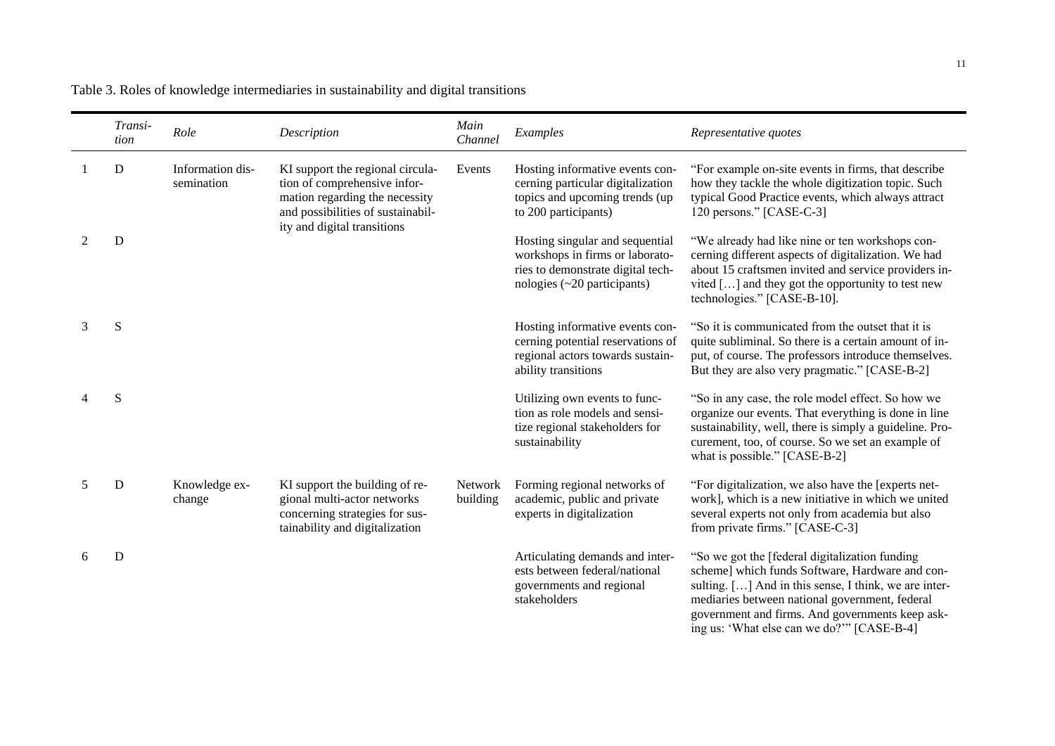Table 3. Roles of knowledge intermediaries in sustainability and digital transitions

|   | Transi-<br>tion | Role                           | Description                                                                                                                             | Main<br>Channel            | Examples                                                                                                                                     | Representative quotes                                                                                                                                                                                                                                            |
|---|-----------------|--------------------------------|-----------------------------------------------------------------------------------------------------------------------------------------|----------------------------|----------------------------------------------------------------------------------------------------------------------------------------------|------------------------------------------------------------------------------------------------------------------------------------------------------------------------------------------------------------------------------------------------------------------|
|   | D               | Information dis-<br>semination | KI support the regional circula-<br>tion of comprehensive infor-<br>mation regarding the necessity<br>and possibilities of sustainabil- | Events                     | Hosting informative events con-<br>cerning particular digitalization<br>topics and upcoming trends (up<br>to 200 participants)               | "For example on-site events in firms, that describe<br>how they tackle the whole digitization topic. Such<br>typical Good Practice events, which always attract<br>120 persons." [CASE-C-3]                                                                      |
|   | D               |                                | ity and digital transitions                                                                                                             |                            | Hosting singular and sequential<br>workshops in firms or laborato-<br>ries to demonstrate digital tech-<br>nologies $(\sim 20$ participants) | "We already had like nine or ten workshops con-<br>cerning different aspects of digitalization. We had<br>about 15 craftsmen invited and service providers in-<br>vited $[\dots]$ and they got the opportunity to test new<br>technologies." [CASE-B-10].        |
| 3 | S               |                                |                                                                                                                                         |                            | Hosting informative events con-<br>cerning potential reservations of<br>regional actors towards sustain-<br>ability transitions              | "So it is communicated from the outset that it is<br>quite subliminal. So there is a certain amount of in-<br>put, of course. The professors introduce themselves.<br>But they are also very pragmatic." [CASE-B-2]                                              |
|   | S               |                                |                                                                                                                                         |                            | Utilizing own events to func-<br>tion as role models and sensi-<br>tize regional stakeholders for<br>sustainability                          | "So in any case, the role model effect. So how we<br>organize our events. That everything is done in line<br>sustainability, well, there is simply a guideline. Pro-<br>curement, too, of course. So we set an example of<br>what is possible." [CASE-B-2]       |
|   | D               | Knowledge ex-<br>change        | KI support the building of re-<br>gional multi-actor networks<br>concerning strategies for sus-<br>tainability and digitalization       | <b>Network</b><br>building | Forming regional networks of<br>academic, public and private<br>experts in digitalization                                                    | "For digitalization, we also have the [experts net-<br>work], which is a new initiative in which we united<br>several experts not only from academia but also<br>from private firms." [CASE-C-3]                                                                 |
|   | D               |                                |                                                                                                                                         |                            | Articulating demands and inter-<br>ests between federal/national<br>governments and regional<br>stakeholders                                 | "So we got the [federal digitalization funding]<br>scheme] which funds Software, Hardware and con-<br>sulting. [] And in this sense, I think, we are inter-<br>mediaries between national government, federal<br>government and firms. And governments keep ask- |

ing us: 'What else can we do?'" [CASE-B-4]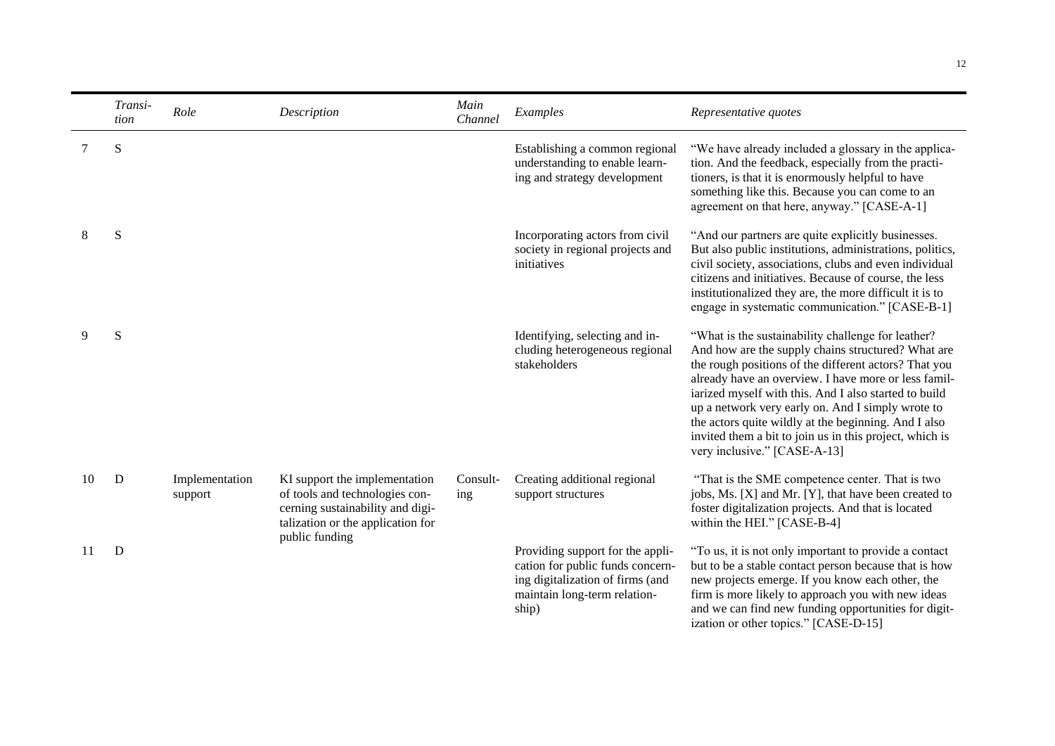|    | Transi-<br>tion | Role                      | Description                                                                                                                              | Main<br>Channel | Examples                                                                                                                                          | Representative quotes                                                                                                                                                                                                                                                                                                                                                                                                                                                                      |
|----|-----------------|---------------------------|------------------------------------------------------------------------------------------------------------------------------------------|-----------------|---------------------------------------------------------------------------------------------------------------------------------------------------|--------------------------------------------------------------------------------------------------------------------------------------------------------------------------------------------------------------------------------------------------------------------------------------------------------------------------------------------------------------------------------------------------------------------------------------------------------------------------------------------|
| 7  | S               |                           |                                                                                                                                          |                 | Establishing a common regional<br>understanding to enable learn-<br>ing and strategy development                                                  | "We have already included a glossary in the applica-<br>tion. And the feedback, especially from the practi-<br>tioners, is that it is enormously helpful to have<br>something like this. Because you can come to an<br>agreement on that here, anyway." [CASE-A-1]                                                                                                                                                                                                                         |
| 8  | S               |                           |                                                                                                                                          |                 | Incorporating actors from civil<br>society in regional projects and<br>initiatives                                                                | "And our partners are quite explicitly businesses.<br>But also public institutions, administrations, politics,<br>civil society, associations, clubs and even individual<br>citizens and initiatives. Because of course, the less<br>institutionalized they are, the more difficult it is to<br>engage in systematic communication." [CASE-B-1]                                                                                                                                            |
| 9  | S               |                           |                                                                                                                                          |                 | Identifying, selecting and in-<br>cluding heterogeneous regional<br>stakeholders                                                                  | "What is the sustainability challenge for leather?<br>And how are the supply chains structured? What are<br>the rough positions of the different actors? That you<br>already have an overview. I have more or less famil-<br>iarized myself with this. And I also started to build<br>up a network very early on. And I simply wrote to<br>the actors quite wildly at the beginning. And I also<br>invited them a bit to join us in this project, which is<br>very inclusive." [CASE-A-13] |
| 10 | D               | Implementation<br>support | KI support the implementation<br>of tools and technologies con-<br>cerning sustainability and digi-<br>talization or the application for | Consult-<br>ing | Creating additional regional<br>support structures                                                                                                | "That is the SME competence center. That is two<br>jobs, Ms. [X] and Mr. [Y], that have been created to<br>foster digitalization projects. And that is located<br>within the HEI." [CASE-B-4]                                                                                                                                                                                                                                                                                              |
| 11 | D               |                           | public funding                                                                                                                           |                 | Providing support for the appli-<br>cation for public funds concern-<br>ing digitalization of firms (and<br>maintain long-term relation-<br>ship) | "To us, it is not only important to provide a contact<br>but to be a stable contact person because that is how<br>new projects emerge. If you know each other, the<br>firm is more likely to approach you with new ideas<br>and we can find new funding opportunities for digit-<br>ization or other topics." [CASE-D-15]                                                                                                                                                                  |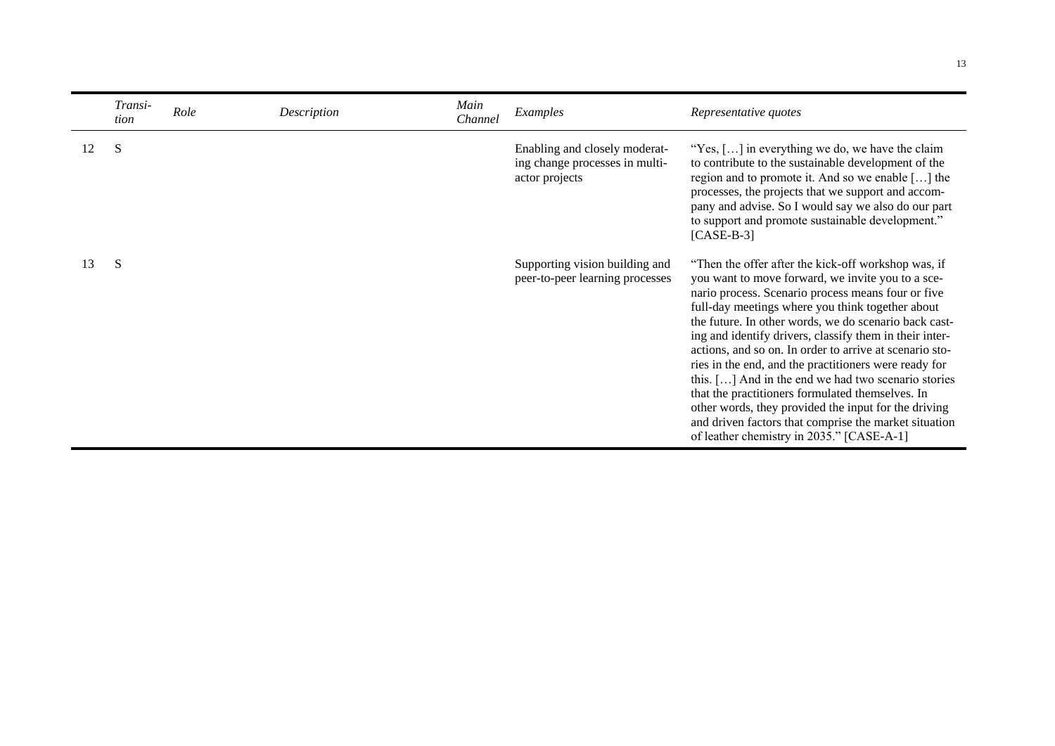|    | Transi-<br>tion | Role | Description | Main<br>Channel | Examples                                                                          | Representative quotes                                                                                                                                                                                                                                                                                                                                                                                                                                                                                                                                                                                                                                                                                                               |
|----|-----------------|------|-------------|-----------------|-----------------------------------------------------------------------------------|-------------------------------------------------------------------------------------------------------------------------------------------------------------------------------------------------------------------------------------------------------------------------------------------------------------------------------------------------------------------------------------------------------------------------------------------------------------------------------------------------------------------------------------------------------------------------------------------------------------------------------------------------------------------------------------------------------------------------------------|
| 12 | S               |      |             |                 | Enabling and closely moderat-<br>ing change processes in multi-<br>actor projects | "Yes, [] in everything we do, we have the claim<br>to contribute to the sustainable development of the<br>region and to promote it. And so we enable [] the<br>processes, the projects that we support and accom-<br>pany and advise. So I would say we also do our part<br>to support and promote sustainable development."<br>$[CASE-B-3]$                                                                                                                                                                                                                                                                                                                                                                                        |
| 13 | S               |      |             |                 | Supporting vision building and<br>peer-to-peer learning processes                 | "Then the offer after the kick-off workshop was, if<br>you want to move forward, we invite you to a sce-<br>nario process. Scenario process means four or five<br>full-day meetings where you think together about<br>the future. In other words, we do scenario back cast-<br>ing and identify drivers, classify them in their inter-<br>actions, and so on. In order to arrive at scenario sto-<br>ries in the end, and the practitioners were ready for<br>this. [] And in the end we had two scenario stories<br>that the practitioners formulated themselves. In<br>other words, they provided the input for the driving<br>and driven factors that comprise the market situation<br>of leather chemistry in 2035." [CASE-A-1] |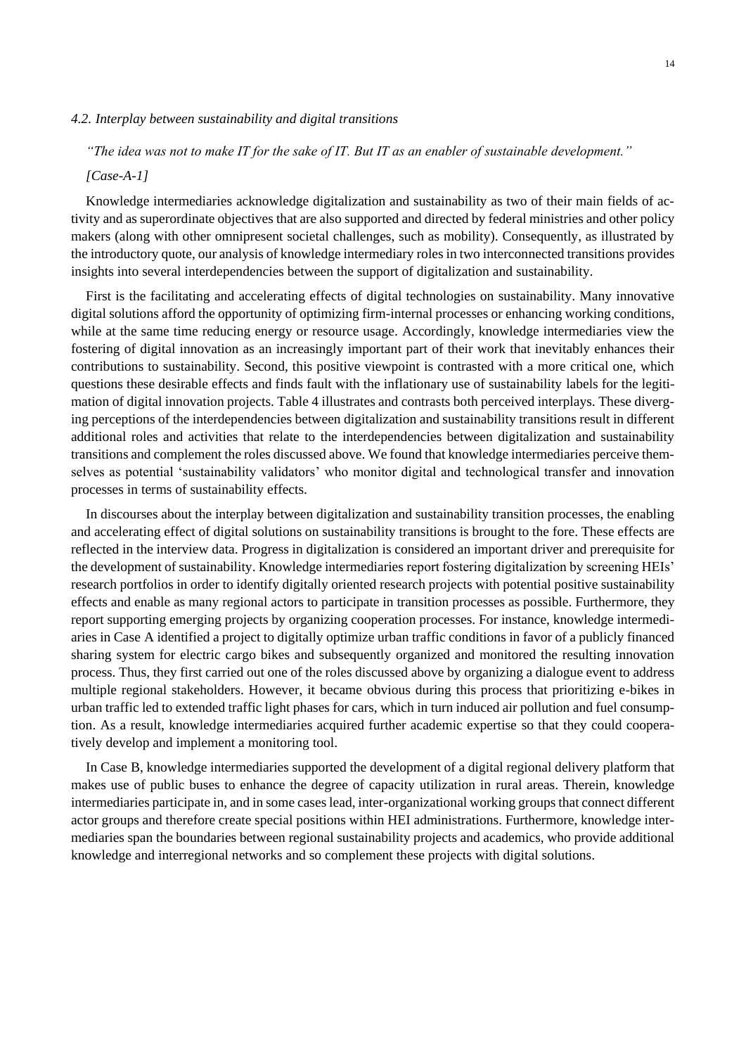# *4.2. Interplay between sustainability and digital transitions*

# *"The idea was not to make IT for the sake of IT. But IT as an enabler of sustainable development."*

# *[Case-A-1]*

Knowledge intermediaries acknowledge digitalization and sustainability as two of their main fields of activity and as superordinate objectives that are also supported and directed by federal ministries and other policy makers (along with other omnipresent societal challenges, such as mobility). Consequently, as illustrated by the introductory quote, our analysis of knowledge intermediary roles in two interconnected transitions provides insights into several interdependencies between the support of digitalization and sustainability.

First is the facilitating and accelerating effects of digital technologies on sustainability. Many innovative digital solutions afford the opportunity of optimizing firm-internal processes or enhancing working conditions, while at the same time reducing energy or resource usage. Accordingly, knowledge intermediaries view the fostering of digital innovation as an increasingly important part of their work that inevitably enhances their contributions to sustainability. Second, this positive viewpoint is contrasted with a more critical one, which questions these desirable effects and finds fault with the inflationary use of sustainability labels for the legitimation of digital innovation projects. Table 4 illustrates and contrasts both perceived interplays. These diverging perceptions of the interdependencies between digitalization and sustainability transitions result in different additional roles and activities that relate to the interdependencies between digitalization and sustainability transitions and complement the roles discussed above. We found that knowledge intermediaries perceive themselves as potential 'sustainability validators' who monitor digital and technological transfer and innovation processes in terms of sustainability effects.

In discourses about the interplay between digitalization and sustainability transition processes, the enabling and accelerating effect of digital solutions on sustainability transitions is brought to the fore. These effects are reflected in the interview data. Progress in digitalization is considered an important driver and prerequisite for the development of sustainability. Knowledge intermediaries report fostering digitalization by screening HEIs' research portfolios in order to identify digitally oriented research projects with potential positive sustainability effects and enable as many regional actors to participate in transition processes as possible. Furthermore, they report supporting emerging projects by organizing cooperation processes. For instance, knowledge intermediaries in Case A identified a project to digitally optimize urban traffic conditions in favor of a publicly financed sharing system for electric cargo bikes and subsequently organized and monitored the resulting innovation process. Thus, they first carried out one of the roles discussed above by organizing a dialogue event to address multiple regional stakeholders. However, it became obvious during this process that prioritizing e-bikes in urban traffic led to extended traffic light phases for cars, which in turn induced air pollution and fuel consumption. As a result, knowledge intermediaries acquired further academic expertise so that they could cooperatively develop and implement a monitoring tool.

In Case B, knowledge intermediaries supported the development of a digital regional delivery platform that makes use of public buses to enhance the degree of capacity utilization in rural areas. Therein, knowledge intermediaries participate in, and in some cases lead, inter-organizational working groups that connect different actor groups and therefore create special positions within HEI administrations. Furthermore, knowledge intermediaries span the boundaries between regional sustainability projects and academics, who provide additional knowledge and interregional networks and so complement these projects with digital solutions.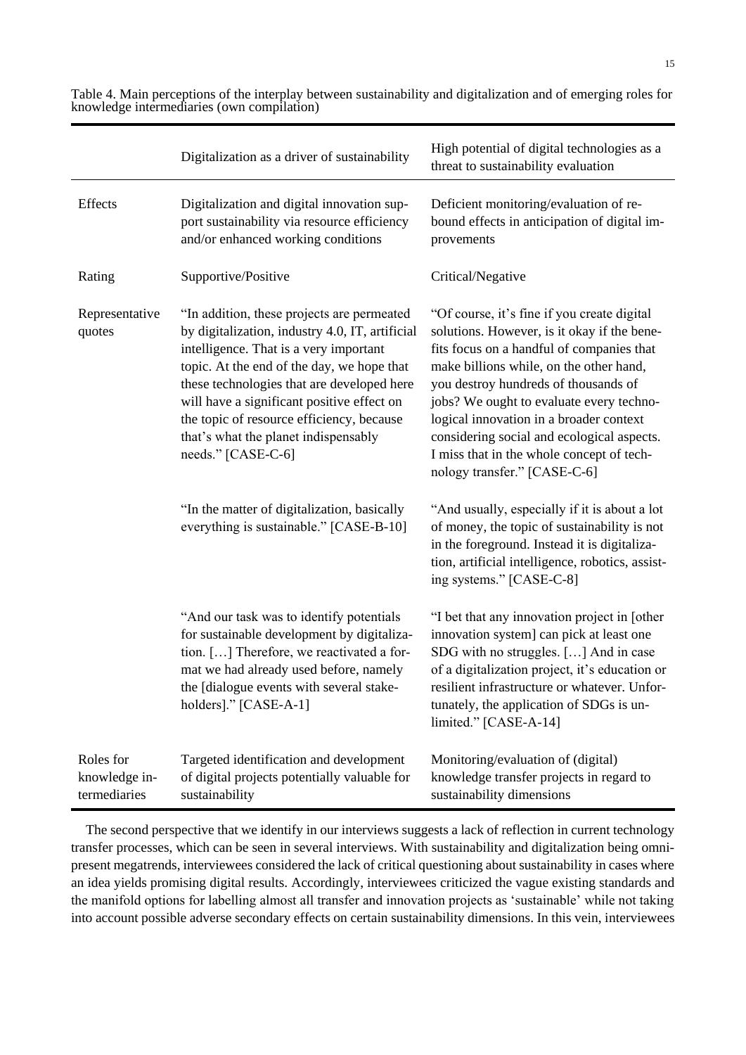|                                                                                                                                                                                                                                                                                                                                                                                                                          | Digitalization as a driver of sustainability                                                                                                                                                                                                       | High potential of digital technologies as a<br>threat to sustainability evaluation                                                                                                                                                                                                                                                                                                                                                           |
|--------------------------------------------------------------------------------------------------------------------------------------------------------------------------------------------------------------------------------------------------------------------------------------------------------------------------------------------------------------------------------------------------------------------------|----------------------------------------------------------------------------------------------------------------------------------------------------------------------------------------------------------------------------------------------------|----------------------------------------------------------------------------------------------------------------------------------------------------------------------------------------------------------------------------------------------------------------------------------------------------------------------------------------------------------------------------------------------------------------------------------------------|
| Effects                                                                                                                                                                                                                                                                                                                                                                                                                  | Digitalization and digital innovation sup-<br>port sustainability via resource efficiency<br>and/or enhanced working conditions                                                                                                                    | Deficient monitoring/evaluation of re-<br>bound effects in anticipation of digital im-<br>provements                                                                                                                                                                                                                                                                                                                                         |
| Rating                                                                                                                                                                                                                                                                                                                                                                                                                   | Supportive/Positive                                                                                                                                                                                                                                | Critical/Negative                                                                                                                                                                                                                                                                                                                                                                                                                            |
| "In addition, these projects are permeated<br>Representative<br>by digitalization, industry 4.0, IT, artificial<br>quotes<br>intelligence. That is a very important<br>topic. At the end of the day, we hope that<br>these technologies that are developed here<br>will have a significant positive effect on<br>the topic of resource efficiency, because<br>that's what the planet indispensably<br>needs." [CASE-C-6] |                                                                                                                                                                                                                                                    | "Of course, it's fine if you create digital<br>solutions. However, is it okay if the bene-<br>fits focus on a handful of companies that<br>make billions while, on the other hand,<br>you destroy hundreds of thousands of<br>jobs? We ought to evaluate every techno-<br>logical innovation in a broader context<br>considering social and ecological aspects.<br>I miss that in the whole concept of tech-<br>nology transfer." [CASE-C-6] |
|                                                                                                                                                                                                                                                                                                                                                                                                                          | "In the matter of digitalization, basically<br>everything is sustainable." [CASE-B-10]                                                                                                                                                             | "And usually, especially if it is about a lot<br>of money, the topic of sustainability is not<br>in the foreground. Instead it is digitaliza-<br>tion, artificial intelligence, robotics, assist-<br>ing systems." [CASE-C-8]                                                                                                                                                                                                                |
|                                                                                                                                                                                                                                                                                                                                                                                                                          | "And our task was to identify potentials<br>for sustainable development by digitaliza-<br>tion. [] Therefore, we reactivated a for-<br>mat we had already used before, namely<br>the [dialogue events with several stake-<br>holders]." [CASE-A-1] | "I bet that any innovation project in [other<br>innovation system] can pick at least one<br>SDG with no struggles. [] And in case<br>of a digitalization project, it's education or<br>resilient infrastructure or whatever. Unfor-<br>tunately, the application of SDGs is un-<br>limited." [CASE-A-14]                                                                                                                                     |
| Roles for<br>knowledge in-<br>termediaries                                                                                                                                                                                                                                                                                                                                                                               | Targeted identification and development<br>of digital projects potentially valuable for<br>sustainability                                                                                                                                          | Monitoring/evaluation of (digital)<br>knowledge transfer projects in regard to<br>sustainability dimensions                                                                                                                                                                                                                                                                                                                                  |

Table 4. Main perceptions of the interplay between sustainability and digitalization and of emerging roles for knowledge intermediaries (own compilation)

The second perspective that we identify in our interviews suggests a lack of reflection in current technology transfer processes, which can be seen in several interviews. With sustainability and digitalization being omnipresent megatrends, interviewees considered the lack of critical questioning about sustainability in cases where an idea yields promising digital results. Accordingly, interviewees criticized the vague existing standards and the manifold options for labelling almost all transfer and innovation projects as 'sustainable' while not taking into account possible adverse secondary effects on certain sustainability dimensions. In this vein, interviewees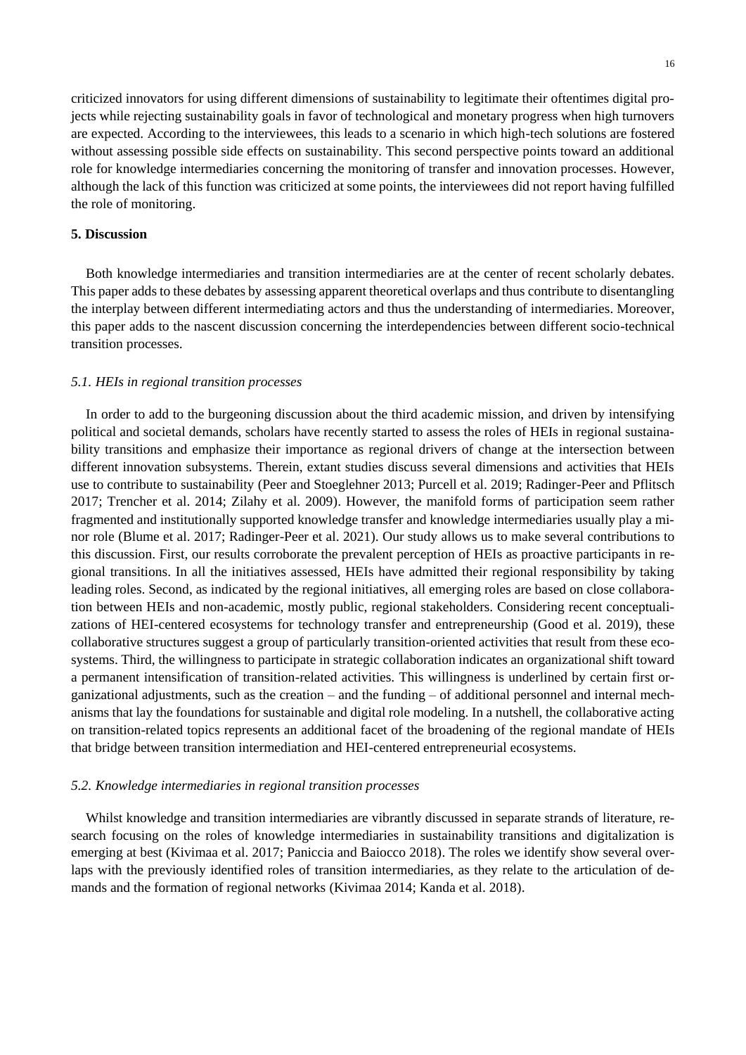criticized innovators for using different dimensions of sustainability to legitimate their oftentimes digital projects while rejecting sustainability goals in favor of technological and monetary progress when high turnovers are expected. According to the interviewees, this leads to a scenario in which high-tech solutions are fostered without assessing possible side effects on sustainability. This second perspective points toward an additional role for knowledge intermediaries concerning the monitoring of transfer and innovation processes. However, although the lack of this function was criticized at some points, the interviewees did not report having fulfilled the role of monitoring.

#### **5. Discussion**

Both knowledge intermediaries and transition intermediaries are at the center of recent scholarly debates. This paper adds to these debates by assessing apparent theoretical overlaps and thus contribute to disentangling the interplay between different intermediating actors and thus the understanding of intermediaries. Moreover, this paper adds to the nascent discussion concerning the interdependencies between different socio-technical transition processes.

#### *5.1. HEIs in regional transition processes*

In order to add to the burgeoning discussion about the third academic mission, and driven by intensifying political and societal demands, scholars have recently started to assess the roles of HEIs in regional sustainability transitions and emphasize their importance as regional drivers of change at the intersection between different innovation subsystems. Therein, extant studies discuss several dimensions and activities that HEIs use to contribute to sustainability (Peer and Stoeglehner 2013; Purcell et al. 2019; Radinger-Peer and Pflitsch 2017; Trencher et al. 2014; Zilahy et al. 2009). However, the manifold forms of participation seem rather fragmented and institutionally supported knowledge transfer and knowledge intermediaries usually play a minor role (Blume et al. 2017; Radinger-Peer et al. 2021). Our study allows us to make several contributions to this discussion. First, our results corroborate the prevalent perception of HEIs as proactive participants in regional transitions. In all the initiatives assessed, HEIs have admitted their regional responsibility by taking leading roles. Second, as indicated by the regional initiatives, all emerging roles are based on close collaboration between HEIs and non-academic, mostly public, regional stakeholders. Considering recent conceptualizations of HEI-centered ecosystems for technology transfer and entrepreneurship (Good et al. 2019), these collaborative structures suggest a group of particularly transition-oriented activities that result from these ecosystems. Third, the willingness to participate in strategic collaboration indicates an organizational shift toward a permanent intensification of transition-related activities. This willingness is underlined by certain first organizational adjustments, such as the creation – and the funding – of additional personnel and internal mechanisms that lay the foundations for sustainable and digital role modeling. In a nutshell, the collaborative acting on transition-related topics represents an additional facet of the broadening of the regional mandate of HEIs that bridge between transition intermediation and HEI-centered entrepreneurial ecosystems.

#### *5.2. Knowledge intermediaries in regional transition processes*

Whilst knowledge and transition intermediaries are vibrantly discussed in separate strands of literature, research focusing on the roles of knowledge intermediaries in sustainability transitions and digitalization is emerging at best (Kivimaa et al. 2017; Paniccia and Baiocco 2018). The roles we identify show several overlaps with the previously identified roles of transition intermediaries, as they relate to the articulation of demands and the formation of regional networks (Kivimaa 2014; Kanda et al. 2018).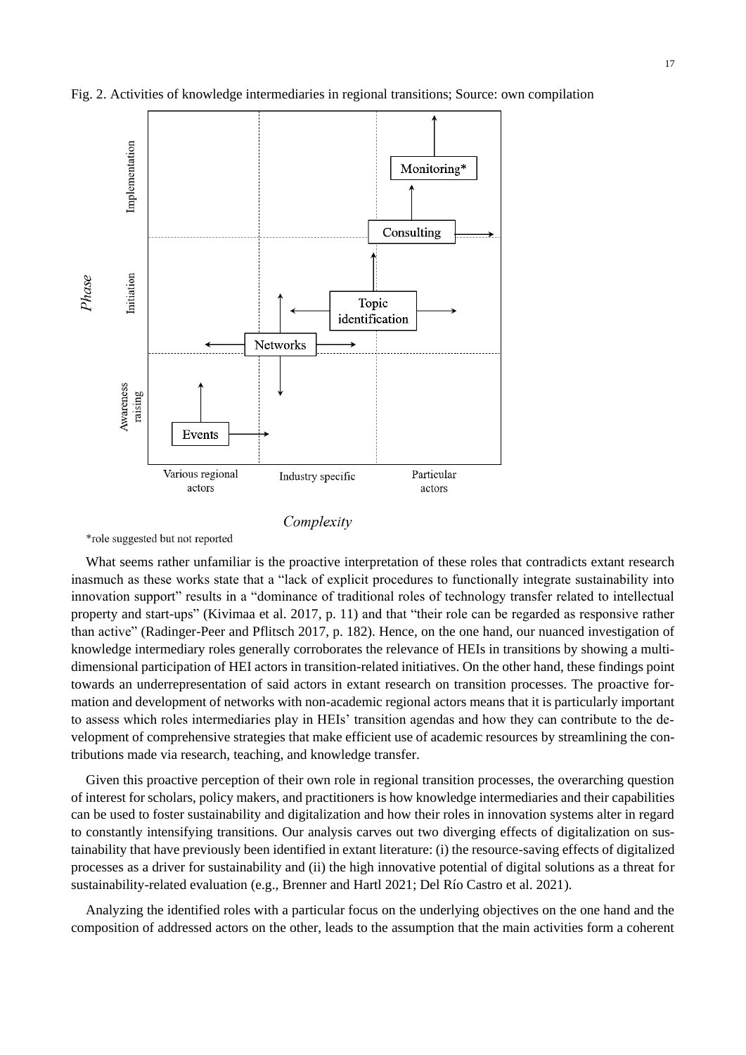

Fig. 2. Activities of knowledge intermediaries in regional transitions; Source: own compilation

Complexity

\*role suggested but not reported

What seems rather unfamiliar is the proactive interpretation of these roles that contradicts extant research inasmuch as these works state that a "lack of explicit procedures to functionally integrate sustainability into innovation support" results in a "dominance of traditional roles of technology transfer related to intellectual property and start-ups" (Kivimaa et al. 2017, p. 11) and that "their role can be regarded as responsive rather than active" (Radinger-Peer and Pflitsch 2017, p. 182). Hence, on the one hand, our nuanced investigation of knowledge intermediary roles generally corroborates the relevance of HEIs in transitions by showing a multidimensional participation of HEI actors in transition-related initiatives. On the other hand, these findings point towards an underrepresentation of said actors in extant research on transition processes. The proactive formation and development of networks with non-academic regional actors means that it is particularly important to assess which roles intermediaries play in HEIs' transition agendas and how they can contribute to the development of comprehensive strategies that make efficient use of academic resources by streamlining the contributions made via research, teaching, and knowledge transfer.

Given this proactive perception of their own role in regional transition processes, the overarching question of interest for scholars, policy makers, and practitioners is how knowledge intermediaries and their capabilities can be used to foster sustainability and digitalization and how their roles in innovation systems alter in regard to constantly intensifying transitions. Our analysis carves out two diverging effects of digitalization on sustainability that have previously been identified in extant literature: (i) the resource-saving effects of digitalized processes as a driver for sustainability and (ii) the high innovative potential of digital solutions as a threat for sustainability-related evaluation (e.g., Brenner and Hartl 2021; Del Río Castro et al. 2021).

Analyzing the identified roles with a particular focus on the underlying objectives on the one hand and the composition of addressed actors on the other, leads to the assumption that the main activities form a coherent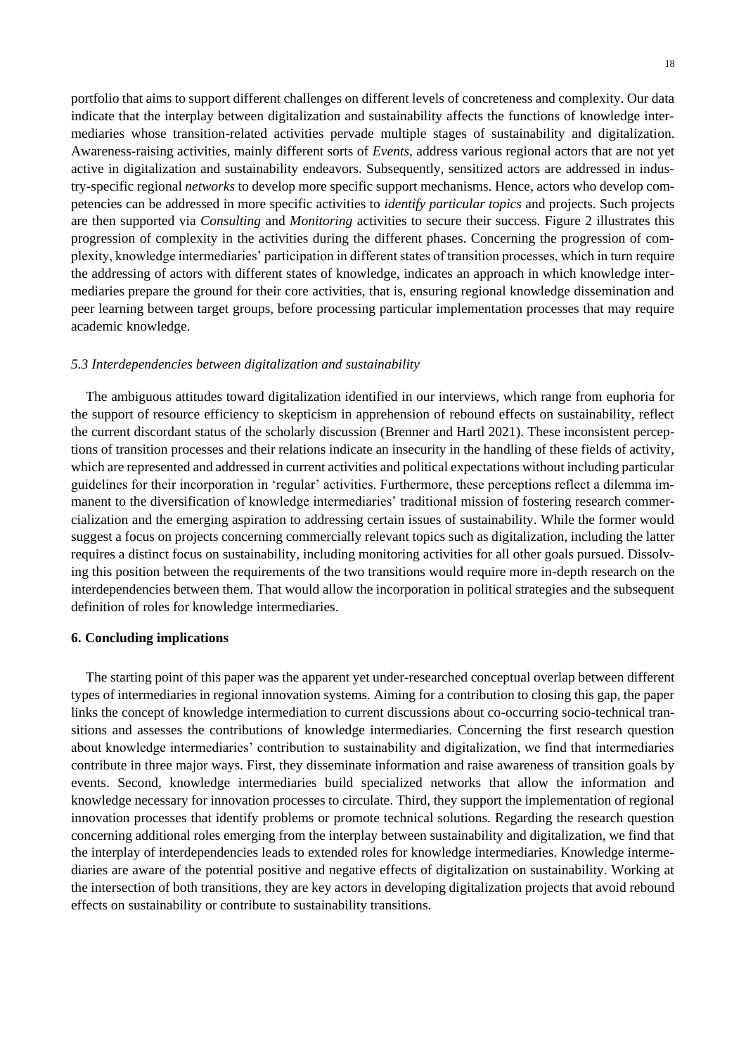portfolio that aims to support different challenges on different levels of concreteness and complexity. Our data indicate that the interplay between digitalization and sustainability affects the functions of knowledge intermediaries whose transition-related activities pervade multiple stages of sustainability and digitalization. Awareness-raising activities, mainly different sorts of *Events*, address various regional actors that are not yet active in digitalization and sustainability endeavors. Subsequently, sensitized actors are addressed in industry-specific regional *networks* to develop more specific support mechanisms. Hence, actors who develop competencies can be addressed in more specific activities to *identify particular topics* and projects. Such projects are then supported via *Consulting* and *Monitoring* activities to secure their success. Figure 2 illustrates this progression of complexity in the activities during the different phases. Concerning the progression of complexity, knowledge intermediaries' participation in different states of transition processes, which in turn require the addressing of actors with different states of knowledge, indicates an approach in which knowledge intermediaries prepare the ground for their core activities, that is, ensuring regional knowledge dissemination and peer learning between target groups, before processing particular implementation processes that may require academic knowledge.

#### *5.3 Interdependencies between digitalization and sustainability*

The ambiguous attitudes toward digitalization identified in our interviews, which range from euphoria for the support of resource efficiency to skepticism in apprehension of rebound effects on sustainability, reflect the current discordant status of the scholarly discussion (Brenner and Hartl 2021). These inconsistent perceptions of transition processes and their relations indicate an insecurity in the handling of these fields of activity, which are represented and addressed in current activities and political expectations without including particular guidelines for their incorporation in 'regular' activities. Furthermore, these perceptions reflect a dilemma immanent to the diversification of knowledge intermediaries' traditional mission of fostering research commercialization and the emerging aspiration to addressing certain issues of sustainability. While the former would suggest a focus on projects concerning commercially relevant topics such as digitalization, including the latter requires a distinct focus on sustainability, including monitoring activities for all other goals pursued. Dissolving this position between the requirements of the two transitions would require more in-depth research on the interdependencies between them. That would allow the incorporation in political strategies and the subsequent definition of roles for knowledge intermediaries.

# **6. Concluding implications**

The starting point of this paper was the apparent yet under-researched conceptual overlap between different types of intermediaries in regional innovation systems. Aiming for a contribution to closing this gap, the paper links the concept of knowledge intermediation to current discussions about co-occurring socio-technical transitions and assesses the contributions of knowledge intermediaries. Concerning the first research question about knowledge intermediaries' contribution to sustainability and digitalization, we find that intermediaries contribute in three major ways. First, they disseminate information and raise awareness of transition goals by events. Second, knowledge intermediaries build specialized networks that allow the information and knowledge necessary for innovation processes to circulate. Third, they support the implementation of regional innovation processes that identify problems or promote technical solutions. Regarding the research question concerning additional roles emerging from the interplay between sustainability and digitalization, we find that the interplay of interdependencies leads to extended roles for knowledge intermediaries. Knowledge intermediaries are aware of the potential positive and negative effects of digitalization on sustainability. Working at the intersection of both transitions, they are key actors in developing digitalization projects that avoid rebound effects on sustainability or contribute to sustainability transitions.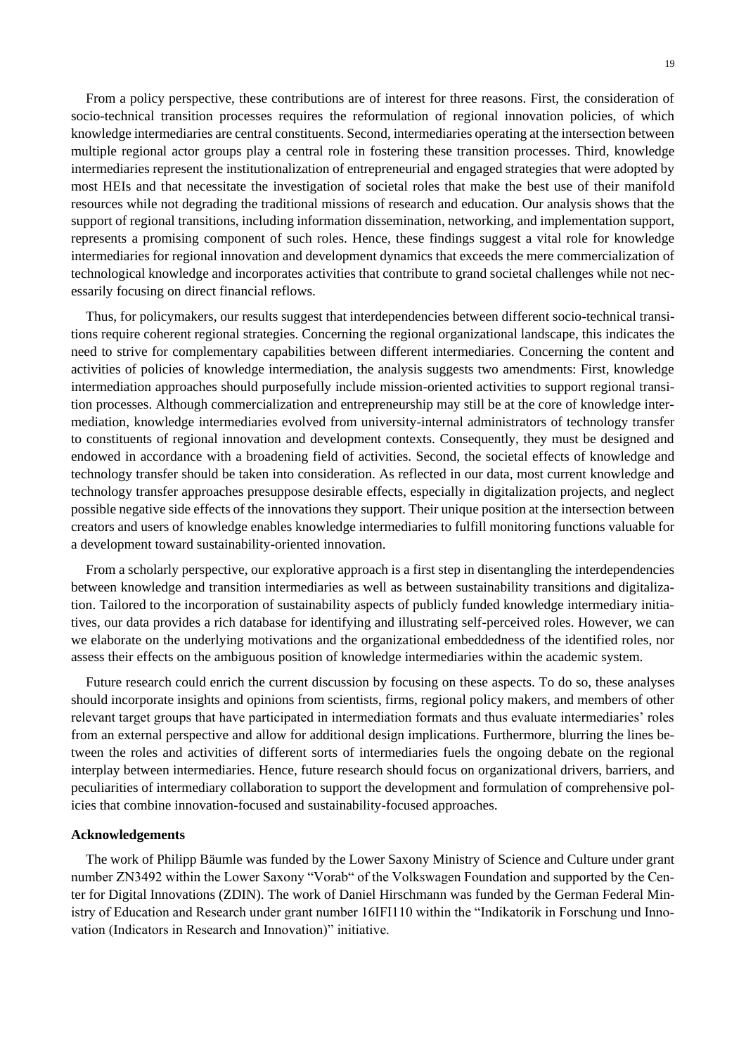From a policy perspective, these contributions are of interest for three reasons. First, the consideration of socio-technical transition processes requires the reformulation of regional innovation policies, of which knowledge intermediaries are central constituents. Second, intermediaries operating at the intersection between multiple regional actor groups play a central role in fostering these transition processes. Third, knowledge intermediaries represent the institutionalization of entrepreneurial and engaged strategies that were adopted by most HEIs and that necessitate the investigation of societal roles that make the best use of their manifold resources while not degrading the traditional missions of research and education. Our analysis shows that the support of regional transitions, including information dissemination, networking, and implementation support, represents a promising component of such roles. Hence, these findings suggest a vital role for knowledge intermediaries for regional innovation and development dynamics that exceeds the mere commercialization of technological knowledge and incorporates activities that contribute to grand societal challenges while not necessarily focusing on direct financial reflows.

Thus, for policymakers, our results suggest that interdependencies between different socio-technical transitions require coherent regional strategies. Concerning the regional organizational landscape, this indicates the need to strive for complementary capabilities between different intermediaries. Concerning the content and activities of policies of knowledge intermediation, the analysis suggests two amendments: First, knowledge intermediation approaches should purposefully include mission-oriented activities to support regional transition processes. Although commercialization and entrepreneurship may still be at the core of knowledge intermediation, knowledge intermediaries evolved from university-internal administrators of technology transfer to constituents of regional innovation and development contexts. Consequently, they must be designed and endowed in accordance with a broadening field of activities. Second, the societal effects of knowledge and technology transfer should be taken into consideration. As reflected in our data, most current knowledge and technology transfer approaches presuppose desirable effects, especially in digitalization projects, and neglect possible negative side effects of the innovations they support. Their unique position at the intersection between creators and users of knowledge enables knowledge intermediaries to fulfill monitoring functions valuable for a development toward sustainability-oriented innovation.

From a scholarly perspective, our explorative approach is a first step in disentangling the interdependencies between knowledge and transition intermediaries as well as between sustainability transitions and digitalization. Tailored to the incorporation of sustainability aspects of publicly funded knowledge intermediary initiatives, our data provides a rich database for identifying and illustrating self-perceived roles. However, we can we elaborate on the underlying motivations and the organizational embeddedness of the identified roles, nor assess their effects on the ambiguous position of knowledge intermediaries within the academic system.

Future research could enrich the current discussion by focusing on these aspects. To do so, these analyses should incorporate insights and opinions from scientists, firms, regional policy makers, and members of other relevant target groups that have participated in intermediation formats and thus evaluate intermediaries' roles from an external perspective and allow for additional design implications. Furthermore, blurring the lines between the roles and activities of different sorts of intermediaries fuels the ongoing debate on the regional interplay between intermediaries. Hence, future research should focus on organizational drivers, barriers, and peculiarities of intermediary collaboration to support the development and formulation of comprehensive policies that combine innovation-focused and sustainability-focused approaches.

#### **Acknowledgements**

The work of Philipp Bäumle was funded by the Lower Saxony Ministry of Science and Culture under grant number ZN3492 within the Lower Saxony "Vorab" of the Volkswagen Foundation and supported by the Center for Digital Innovations (ZDIN). The work of Daniel Hirschmann was funded by the German Federal Ministry of Education and Research under grant number 16IFI110 within the "Indikatorik in Forschung und Innovation (Indicators in Research and Innovation)" initiative.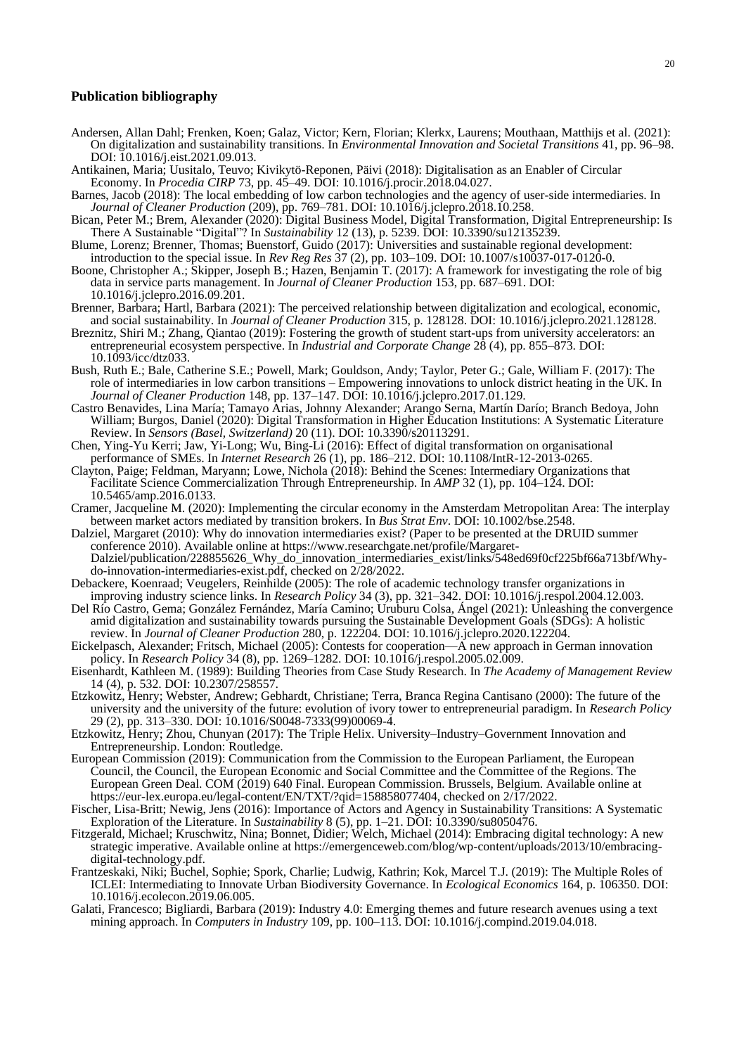#### **Publication bibliography**

- Andersen, Allan Dahl; Frenken, Koen; Galaz, Victor; Kern, Florian; Klerkx, Laurens; Mouthaan, Matthijs et al. (2021): On digitalization and sustainability transitions. In *Environmental Innovation and Societal Transitions* 41, pp. 96–98. DOI: 10.1016/j.eist.2021.09.013.
- Antikainen, Maria; Uusitalo, Teuvo; Kivikytö-Reponen, Päivi (2018): Digitalisation as an Enabler of Circular Economy. In *Procedia CIRP* 73, pp. 45–49. DOI: 10.1016/j.procir.2018.04.027.
- Barnes, Jacob (2018): The local embedding of low carbon technologies and the agency of user-side intermediaries. In *Journal of Cleaner Production* (209), pp. 769–781. DOI: 10.1016/j.jclepro.2018.10.258.
- Bican, Peter M.; Brem, Alexander (2020): Digital Business Model, Digital Transformation, Digital Entrepreneurship: Is There A Sustainable "Digital"? In *Sustainability* 12 (13), p. 5239. DOI: 10.3390/su12135239.
- Blume, Lorenz; Brenner, Thomas; Buenstorf, Guido (2017): Universities and sustainable regional development: introduction to the special issue. In *Rev Reg Res* 37 (2), pp. 103–109. DOI: 10.1007/s10037-017-0120-0.
- Boone, Christopher A.; Skipper, Joseph B.; Hazen, Benjamin T. (2017): A framework for investigating the role of big data in service parts management. In *Journal of Cleaner Production* 153, pp. 687–691. DOI: 10.1016/j.jclepro.2016.09.201.
- Brenner, Barbara; Hartl, Barbara (2021): The perceived relationship between digitalization and ecological, economic, and social sustainability. In *Journal of Cleaner Production* 315, p. 128128. DOI: 10.1016/j.jclepro.2021.128128.
- Breznitz, Shiri M.; Zhang, Qiantao (2019): Fostering the growth of student start-ups from university accelerators: an entrepreneurial ecosystem perspective. In *Industrial and Corporate Change* 28 (4), pp. 855–873. DOI: 10.1093/icc/dtz033.
- Bush, Ruth E.; Bale, Catherine S.E.; Powell, Mark; Gouldson, Andy; Taylor, Peter G.; Gale, William F. (2017): The role of intermediaries in low carbon transitions – Empowering innovations to unlock district heating in the UK. In *Journal of Cleaner Production* 148, pp. 137–147. DOI: 10.1016/j.jclepro.2017.01.129.
- Castro Benavides, Lina María; Tamayo Arias, Johnny Alexander; Arango Serna, Martín Darío; Branch Bedoya, John William; Burgos, Daniel (2020): Digital Transformation in Higher Education Institutions: A Systematic Literature Review. In *Sensors (Basel, Switzerland)* 20 (11). DOI: 10.3390/s20113291.
- Chen, Ying-Yu Kerri; Jaw, Yi-Long; Wu, Bing-Li (2016): Effect of digital transformation on organisational performance of SMEs. In *Internet Research* 26 (1), pp. 186–212. DOI: 10.1108/IntR-12-2013-0265.
- Clayton, Paige; Feldman, Maryann; Lowe, Nichola (2018): Behind the Scenes: Intermediary Organizations that Facilitate Science Commercialization Through Entrepreneurship. In *AMP* 32 (1), pp. 104–124. DOI: 10.5465/amp.2016.0133.
- Cramer, Jacqueline M. (2020): Implementing the circular economy in the Amsterdam Metropolitan Area: The interplay between market actors mediated by transition brokers. In *Bus Strat Env*. DOI: 10.1002/bse.2548.
- Dalziel, Margaret (2010): Why do innovation intermediaries exist? (Paper to be presented at the DRUID summer conference 2010). Available online at https://www.researchgate.net/profile/Margaret-Dalziel/publication/228855626\_Why\_do\_innovation\_intermediaries\_exist/links/548ed69f0cf225bf66a713bf/Whydo-innovation-intermediaries-exist.pdf, checked on 2/28/2022.
- Debackere, Koenraad; Veugelers, Reinhilde (2005): The role of academic technology transfer organizations in improving industry science links. In *Research Policy* 34 (3), pp. 321–342. DOI: 10.1016/j.respol.2004.12.003.
- Del Río Castro, Gema; González Fernández, María Camino; Uruburu Colsa, Ángel (2021): Unleashing the convergence amid digitalization and sustainability towards pursuing the Sustainable Development Goals (SDGs): A holistic review. In *Journal of Cleaner Production* 280, p. 122204. DOI: 10.1016/j.jclepro.2020.122204.
- Eickelpasch, Alexander; Fritsch, Michael (2005): Contests for cooperation—A new approach in German innovation policy. In *Research Policy* 34 (8), pp. 1269–1282. DOI: 10.1016/j.respol.2005.02.009.
- Eisenhardt, Kathleen M. (1989): Building Theories from Case Study Research. In *The Academy of Management Review*  14 (4), p. 532. DOI: 10.2307/258557.
- Etzkowitz, Henry; Webster, Andrew; Gebhardt, Christiane; Terra, Branca Regina Cantisano (2000): The future of the university and the university of the future: evolution of ivory tower to entrepreneurial paradigm. In *Research Policy*  29 (2), pp. 313–330. DOI: 10.1016/S0048-7333(99)00069-4.
- Etzkowitz, Henry; Zhou, Chunyan (2017): The Triple Helix. University–Industry–Government Innovation and Entrepreneurship. London: Routledge.
- European Commission (2019): Communication from the Commission to the European Parliament, the European Council, the Council, the European Economic and Social Committee and the Committee of the Regions. The European Green Deal. COM (2019) 640 Final. European Commission. Brussels, Belgium. Available online at https://eur-lex.europa.eu/legal-content/EN/TXT/?qid=158858077404, checked on 2/17/2022.
- Fischer, Lisa-Britt; Newig, Jens (2016): Importance of Actors and Agency in Sustainability Transitions: A Systematic Exploration of the Literature. In *Sustainability* 8 (5), pp. 1–21. DOI: 10.3390/su8050476.
- Fitzgerald, Michael; Kruschwitz, Nina; Bonnet, Didier; Welch, Michael (2014): Embracing digital technology: A new strategic imperative. Available online at https://emergenceweb.com/blog/wp-content/uploads/2013/10/embracingdigital-technology.pdf.
- Frantzeskaki, Niki; Buchel, Sophie; Spork, Charlie; Ludwig, Kathrin; Kok, Marcel T.J. (2019): The Multiple Roles of ICLEI: Intermediating to Innovate Urban Biodiversity Governance. In *Ecological Economics* 164, p. 106350. DOI: 10.1016/j.ecolecon.2019.06.005.
- Galati, Francesco; Bigliardi, Barbara (2019): Industry 4.0: Emerging themes and future research avenues using a text mining approach. In *Computers in Industry* 109, pp. 100–113. DOI: 10.1016/j.compind.2019.04.018.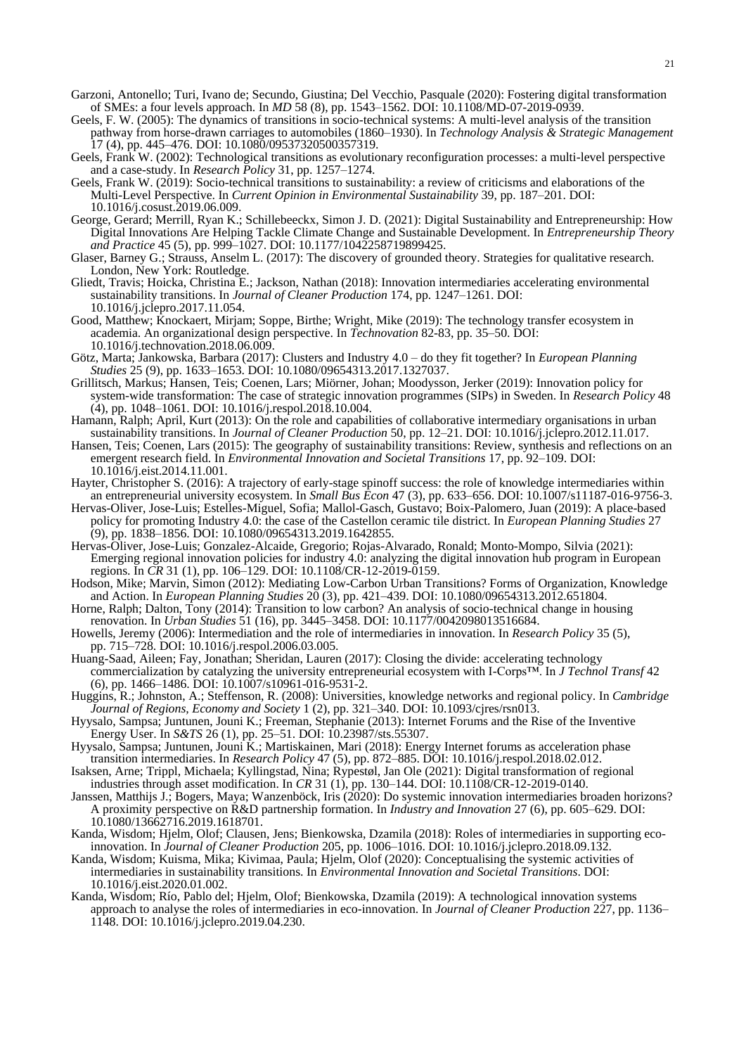- Garzoni, Antonello; Turi, Ivano de; Secundo, Giustina; Del Vecchio, Pasquale (2020): Fostering digital transformation of SMEs: a four levels approach. In *MD* 58 (8), pp. 1543–1562. DOI: 10.1108/MD-07-2019-0939.
- Geels, F. W. (2005): The dynamics of transitions in socio-technical systems: A multi-level analysis of the transition pathway from horse-drawn carriages to automobiles (1860–1930). In *Technology Analysis & Strategic Management*  17 (4), pp. 445–476. DOI: 10.1080/09537320500357319.
- Geels, Frank W. (2002): Technological transitions as evolutionary reconfiguration processes: a multi-level perspective and a case-study. In *Research Policy* 31, pp. 1257–1274.
- Geels, Frank W. (2019): Socio-technical transitions to sustainability: a review of criticisms and elaborations of the Multi-Level Perspective. In *Current Opinion in Environmental Sustainability* 39, pp. 187–201. DOI: 10.1016/j.cosust.2019.06.009.
- George, Gerard; Merrill, Ryan K.; Schillebeeckx, Simon J. D. (2021): Digital Sustainability and Entrepreneurship: How Digital Innovations Are Helping Tackle Climate Change and Sustainable Development. In *Entrepreneurship Theory and Practice* 45 (5), pp. 999–1027. DOI: 10.1177/1042258719899425.
- Glaser, Barney G.; Strauss, Anselm L. (2017): The discovery of grounded theory. Strategies for qualitative research. London, New York: Routledge.
- Gliedt, Travis; Hoicka, Christina E.; Jackson, Nathan (2018): Innovation intermediaries accelerating environmental sustainability transitions. In *Journal of Cleaner Production* 174, pp. 1247–1261. DOI: 10.1016/j.jclepro.2017.11.054.
- Good, Matthew; Knockaert, Mirjam; Soppe, Birthe; Wright, Mike (2019): The technology transfer ecosystem in academia. An organizational design perspective. In *Technovation* 82-83, pp. 35–50. DOI: 10.1016/j.technovation.2018.06.009.
- Götz, Marta; Jankowska, Barbara (2017): Clusters and Industry 4.0 do they fit together? In *European Planning Studies* 25 (9), pp. 1633–1653. DOI: 10.1080/09654313.2017.1327037.
- Grillitsch, Markus; Hansen, Teis; Coenen, Lars; Miörner, Johan; Moodysson, Jerker (2019): Innovation policy for system-wide transformation: The case of strategic innovation programmes (SIPs) in Sweden. In *Research Policy* 48 (4), pp. 1048–1061. DOI: 10.1016/j.respol.2018.10.004.
- Hamann, Ralph; April, Kurt (2013): On the role and capabilities of collaborative intermediary organisations in urban sustainability transitions. In *Journal of Cleaner Production* 50, pp. 12–21. DOI: 10.1016/j.jclepro.2012.11.017.
- Hansen, Teis; Coenen, Lars (2015): The geography of sustainability transitions: Review, synthesis and reflections on an emergent research field. In *Environmental Innovation and Societal Transitions* 17, pp. 92–109. DOI: 10.1016/j.eist.2014.11.001.
- Hayter, Christopher S. (2016): A trajectory of early-stage spinoff success: the role of knowledge intermediaries within an entrepreneurial university ecosystem. In *Small Bus Econ* 47 (3), pp. 633–656. DOI: 10.1007/s11187-016-9756-3.
- Hervas-Oliver, Jose-Luis; Estelles-Miguel, Sofia; Mallol-Gasch, Gustavo; Boix-Palomero, Juan (2019): A place-based policy for promoting Industry 4.0: the case of the Castellon ceramic tile district. In *European Planning Studies* 27 (9), pp. 1838–1856. DOI: 10.1080/09654313.2019.1642855.
- Hervas-Oliver, Jose-Luis; Gonzalez-Alcaide, Gregorio; Rojas-Alvarado, Ronald; Monto-Mompo, Silvia (2021): Emerging regional innovation policies for industry 4.0: analyzing the digital innovation hub program in European regions. In *CR* 31 (1), pp. 106–129. DOI: 10.1108/CR-12-2019-0159.
- Hodson, Mike; Marvin, Simon (2012): Mediating Low-Carbon Urban Transitions? Forms of Organization, Knowledge and Action. In *European Planning Studies* 20 (3), pp. 421–439. DOI: 10.1080/09654313.2012.651804.
- Horne, Ralph; Dalton, Tony (2014): Transition to low carbon? An analysis of socio-technical change in housing renovation. In *Urban Studies* 51 (16), pp. 3445–3458. DOI: 10.1177/0042098013516684.
- Howells, Jeremy (2006): Intermediation and the role of intermediaries in innovation. In *Research Policy* 35 (5), pp. 715–728. DOI: 10.1016/j.respol.2006.03.005.
- Huang-Saad, Aileen; Fay, Jonathan; Sheridan, Lauren (2017): Closing the divide: accelerating technology commercialization by catalyzing the university entrepreneurial ecosystem with I-Corps™. In *J Technol Transf* 42 (6), pp. 1466–1486. DOI: 10.1007/s10961-016-9531-2.
- Huggins, R.; Johnston, A.; Steffenson, R. (2008): Universities, knowledge networks and regional policy. In *Cambridge Journal of Regions, Economy and Society* 1 (2), pp. 321–340. DOI: 10.1093/cjres/rsn013.
- Hyysalo, Sampsa; Juntunen, Jouni K.; Freeman, Stephanie (2013): Internet Forums and the Rise of the Inventive Energy User. In *S&TS* 26 (1), pp. 25–51. DOI: 10.23987/sts.55307.
- Hyysalo, Sampsa; Juntunen, Jouni K.; Martiskainen, Mari (2018): Energy Internet forums as acceleration phase transition intermediaries. In *Research Policy* 47 (5), pp. 872–885. DOI: 10.1016/j.respol.2018.02.012.
- Isaksen, Arne; Trippl, Michaela; Kyllingstad, Nina; Rypestøl, Jan Ole (2021): Digital transformation of regional industries through asset modification. In *CR* 31 (1), pp. 130–144. DOI: 10.1108/CR-12-2019-0140.
- Janssen, Matthijs J.; Bogers, Maya; Wanzenböck, Iris (2020): Do systemic innovation intermediaries broaden horizons? A proximity perspective on R&D partnership formation. In *Industry and Innovation* 27 (6), pp. 605–629. DOI: 10.1080/13662716.2019.1618701.
- Kanda, Wisdom; Hjelm, Olof; Clausen, Jens; Bienkowska, Dzamila (2018): Roles of intermediaries in supporting ecoinnovation. In *Journal of Cleaner Production* 205, pp. 1006–1016. DOI: 10.1016/j.jclepro.2018.09.132.
- Kanda, Wisdom; Kuisma, Mika; Kivimaa, Paula; Hjelm, Olof (2020): Conceptualising the systemic activities of intermediaries in sustainability transitions. In *Environmental Innovation and Societal Transitions*. DOI: 10.1016/j.eist.2020.01.002.
- Kanda, Wisdom; Río, Pablo del; Hjelm, Olof; Bienkowska, Dzamila (2019): A technological innovation systems approach to analyse the roles of intermediaries in eco-innovation. In *Journal of Cleaner Production* 227, pp. 1136– 1148. DOI: 10.1016/j.jclepro.2019.04.230.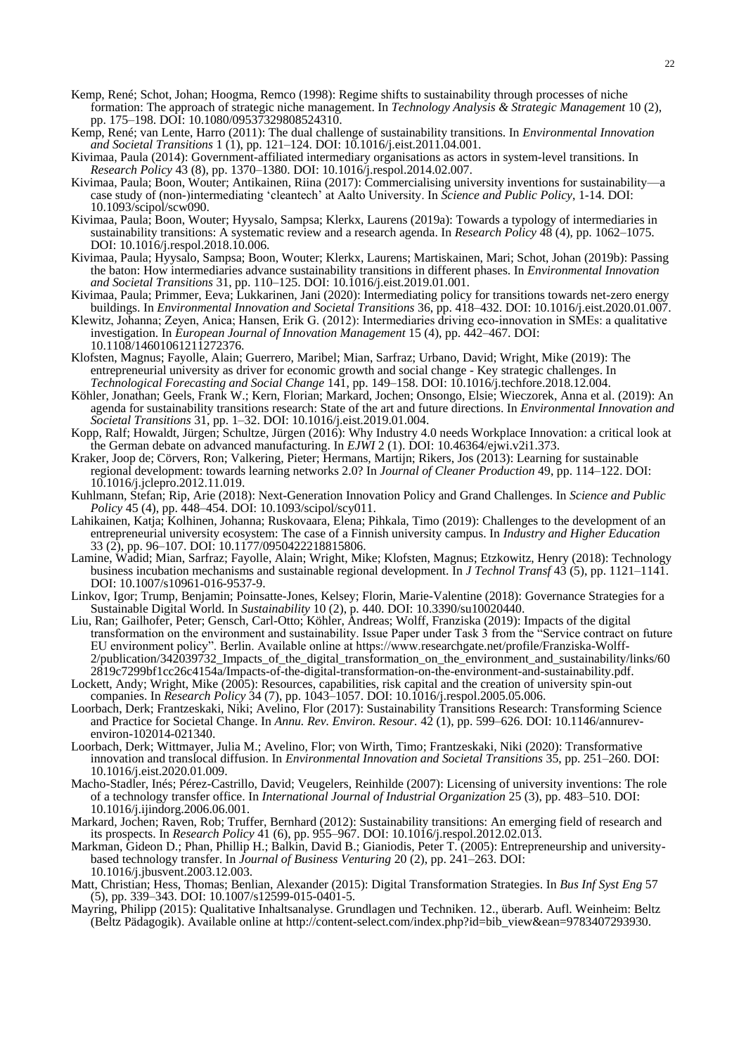- Kemp, René; Schot, Johan; Hoogma, Remco (1998): Regime shifts to sustainability through processes of niche formation: The approach of strategic niche management. In *Technology Analysis & Strategic Management* 10 (2), pp. 175–198. DOI: 10.1080/09537329808524310.
- Kemp, René; van Lente, Harro (2011): The dual challenge of sustainability transitions. In *Environmental Innovation and Societal Transitions* 1 (1), pp. 121–124. DOI: 10.1016/j.eist.2011.04.001.
- Kivimaa, Paula (2014): Government-affiliated intermediary organisations as actors in system-level transitions. In *Research Policy* 43 (8), pp. 1370–1380. DOI: 10.1016/j.respol.2014.02.007.
- Kivimaa, Paula; Boon, Wouter; Antikainen, Riina (2017): Commercialising university inventions for sustainabilitycase study of (non-)intermediating 'cleantech' at Aalto University. In *Science and Public Policy*, 1-14. DOI: 10.1093/scipol/scw090.
- Kivimaa, Paula; Boon, Wouter; Hyysalo, Sampsa; Klerkx, Laurens (2019a): Towards a typology of intermediaries in sustainability transitions: A systematic review and a research agenda. In *Research Policy* 48 (4), pp. 1062–1075. DOI: 10.1016/j.respol.2018.10.006.
- Kivimaa, Paula; Hyysalo, Sampsa; Boon, Wouter; Klerkx, Laurens; Martiskainen, Mari; Schot, Johan (2019b): Passing the baton: How intermediaries advance sustainability transitions in different phases. In *Environmental Innovation and Societal Transitions* 31, pp. 110–125. DOI: 10.1016/j.eist.2019.01.001.
- Kivimaa, Paula; Primmer, Eeva; Lukkarinen, Jani (2020): Intermediating policy for transitions towards net-zero energy buildings. In *Environmental Innovation and Societal Transitions* 36, pp. 418–432. DOI: 10.1016/j.eist.2020.01.007.
- Klewitz, Johanna; Zeyen, Anica; Hansen, Erik G. (2012): Intermediaries driving eco-innovation in SMEs: a qualitative investigation. In *European Journal of Innovation Management* 15 (4), pp. 442–467. DOI: 10.1108/14601061211272376.
- Klofsten, Magnus; Fayolle, Alain; Guerrero, Maribel; Mian, Sarfraz; Urbano, David; Wright, Mike (2019): The entrepreneurial university as driver for economic growth and social change - Key strategic challenges. In *Technological Forecasting and Social Change* 141, pp. 149–158. DOI: 10.1016/j.techfore.2018.12.004.
- Köhler, Jonathan; Geels, Frank W.; Kern, Florian; Markard, Jochen; Onsongo, Elsie; Wieczorek, Anna et al. (2019): An agenda for sustainability transitions research: State of the art and future directions. In *Environmental Innovation and Societal Transitions* 31, pp. 1–32. DOI: 10.1016/j.eist.2019.01.004.
- Kopp, Ralf; Howaldt, Jürgen; Schultze, Jürgen (2016): Why Industry 4.0 needs Workplace Innovation: a critical look at the German debate on advanced manufacturing. In *EJWI* 2 (1). DOI: 10.46364/ejwi.v2i1.373.
- Kraker, Joop de; Cörvers, Ron; Valkering, Pieter; Hermans, Martijn; Rikers, Jos (2013): Learning for sustainable regional development: towards learning networks 2.0? In *Journal of Cleaner Production* 49, pp. 114–122. DOI: 10.1016/j.jclepro.2012.11.019.
- Kuhlmann, Stefan; Rip, Arie (2018): Next-Generation Innovation Policy and Grand Challenges. In *Science and Public Policy* 45 (4), pp. 448–454. DOI: 10.1093/scipol/scy011.
- Lahikainen, Katja; Kolhinen, Johanna; Ruskovaara, Elena; Pihkala, Timo (2019): Challenges to the development of an entrepreneurial university ecosystem: The case of a Finnish university campus. In *Industry and Higher Education*  33 (2), pp. 96–107. DOI: 10.1177/0950422218815806.
- Lamine, Wadid; Mian, Sarfraz; Fayolle, Alain; Wright, Mike; Klofsten, Magnus; Etzkowitz, Henry (2018): Technology business incubation mechanisms and sustainable regional development. In *J Technol Transf* 43 (5), pp. 1121–1141. DOI: 10.1007/s10961-016-9537-9.
- Linkov, Igor; Trump, Benjamin; Poinsatte-Jones, Kelsey; Florin, Marie-Valentine (2018): Governance Strategies for a Sustainable Digital World. In *Sustainability* 10 (2), p. 440. DOI: 10.3390/su10020440.
- Liu, Ran; Gailhofer, Peter; Gensch, Carl-Otto; Köhler, Andreas; Wolff, Franziska (2019): Impacts of the digital transformation on the environment and sustainability. Issue Paper under Task 3 from the "Service contract on future EU environment policy". Berlin. Available online at https://www.researchgate.net/profile/Franziska-Wolff-2/publication/342039732\_Impacts\_of\_the\_digital\_transformation\_on\_the\_environment\_and\_sustainability/links/60 2819c7299bf1cc26c4154a/Impacts-of-the-digital-transformation-on-the-environment-and-sustainability.pdf.
- Lockett, Andy; Wright, Mike (2005): Resources, capabilities, risk capital and the creation of university spin-out companies. In *Research Policy* 34 (7), pp. 1043–1057. DOI: 10.1016/j.respol.2005.05.006.
- Loorbach, Derk; Frantzeskaki, Niki; Avelino, Flor (2017): Sustainability Transitions Research: Transforming Science and Practice for Societal Change. In *Annu. Rev. Environ. Resour.* 42 (1), pp. 599–626. DOI: 10.1146/annurevenviron-102014-021340.
- Loorbach, Derk; Wittmayer, Julia M.; Avelino, Flor; von Wirth, Timo; Frantzeskaki, Niki (2020): Transformative innovation and translocal diffusion. In *Environmental Innovation and Societal Transitions* 35, pp. 251–260. DOI: 10.1016/j.eist.2020.01.009.
- Macho-Stadler, Inés; Pérez-Castrillo, David; Veugelers, Reinhilde (2007): Licensing of university inventions: The role of a technology transfer office. In *International Journal of Industrial Organization* 25 (3), pp. 483–510. DOI: 10.1016/j.ijindorg.2006.06.001.
- Markard, Jochen; Raven, Rob; Truffer, Bernhard (2012): Sustainability transitions: An emerging field of research and its prospects. In *Research Policy* 41 (6), pp. 955–967. DOI: 10.1016/j.respol.2012.02.013.
- Markman, Gideon D.; Phan, Phillip H.; Balkin, David B.; Gianiodis, Peter T. (2005): Entrepreneurship and universitybased technology transfer. In *Journal of Business Venturing* 20 (2), pp. 241–263. DOI: 10.1016/j.jbusvent.2003.12.003.
- Matt, Christian; Hess, Thomas; Benlian, Alexander (2015): Digital Transformation Strategies. In *Bus Inf Syst Eng* 57 (5), pp. 339–343. DOI: 10.1007/s12599-015-0401-5.
- Mayring, Philipp (2015): Qualitative Inhaltsanalyse. Grundlagen und Techniken. 12., überarb. Aufl. Weinheim: Beltz (Beltz Pädagogik). Available online at http://content-select.com/index.php?id=bib\_view&ean=9783407293930.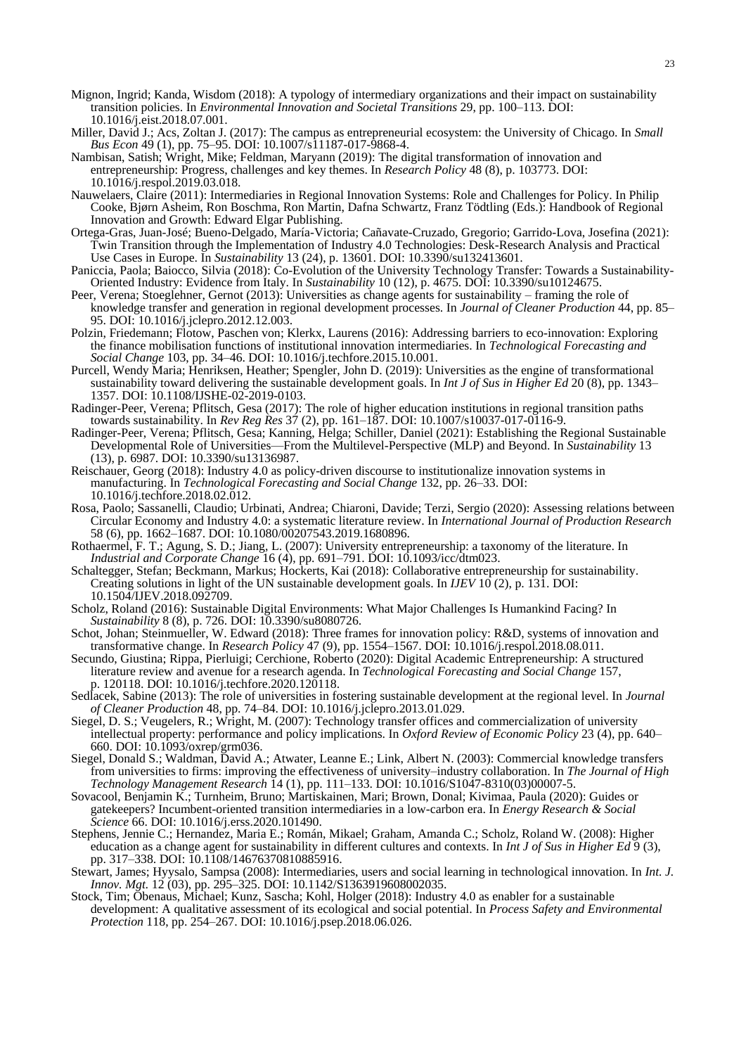- Mignon, Ingrid; Kanda, Wisdom (2018): A typology of intermediary organizations and their impact on sustainability transition policies. In *Environmental Innovation and Societal Transitions* 29, pp. 100–113. DOI: 10.1016/j.eist.2018.07.001.
- Miller, David J.; Acs, Zoltan J. (2017): The campus as entrepreneurial ecosystem: the University of Chicago. In *Small Bus Econ* 49 (1), pp. 75–95. DOI: 10.1007/s11187-017-9868-4.
- Nambisan, Satish; Wright, Mike; Feldman, Maryann (2019): The digital transformation of innovation and entrepreneurship: Progress, challenges and key themes. In *Research Policy* 48 (8), p. 103773. DOI: 10.1016/j.respol.2019.03.018.
- Nauwelaers, Claire (2011): Intermediaries in Regional Innovation Systems: Role and Challenges for Policy. In Philip Cooke, Bjørn Asheim, Ron Boschma, Ron Martin, Dafna Schwartz, Franz Tödtling (Eds.): Handbook of Regional Innovation and Growth: Edward Elgar Publishing.
- Ortega-Gras, Juan-José; Bueno-Delgado, María-Victoria; Cañavate-Cruzado, Gregorio; Garrido-Lova, Josefina (2021): Twin Transition through the Implementation of Industry 4.0 Technologies: Desk-Research Analysis and Practical Use Cases in Europe. In *Sustainability* 13 (24), p. 13601. DOI: 10.3390/su132413601.
- Paniccia, Paola; Baiocco, Silvia (2018): Co-Evolution of the University Technology Transfer: Towards a Sustainability-Oriented Industry: Evidence from Italy. In *Sustainability* 10 (12), p. 4675. DOI: 10.3390/su10124675.
- Peer, Verena; Stoeglehner, Gernot (2013): Universities as change agents for sustainability framing the role of knowledge transfer and generation in regional development processes. In *Journal of Cleaner Production* 44, pp. 85– 95. DOI: 10.1016/j.jclepro.2012.12.003.
- Polzin, Friedemann; Flotow, Paschen von; Klerkx, Laurens (2016): Addressing barriers to eco-innovation: Exploring the finance mobilisation functions of institutional innovation intermediaries. In *Technological Forecasting and Social Change* 103, pp. 34–46. DOI: 10.1016/j.techfore.2015.10.001.
- Purcell, Wendy Maria; Henriksen, Heather; Spengler, John D. (2019): Universities as the engine of transformational sustainability toward delivering the sustainable development goals. In *Int J of Sus in Higher Ed* 20 (8), pp. 1343– 1357. DOI: 10.1108/IJSHE-02-2019-0103.
- Radinger-Peer, Verena; Pflitsch, Gesa (2017): The role of higher education institutions in regional transition paths towards sustainability. In *Rev Reg Res* 37 (2), pp. 161–187. DOI: 10.1007/s10037-017-0116-9.
- Radinger-Peer, Verena; Pflitsch, Gesa; Kanning, Helga; Schiller, Daniel (2021): Establishing the Regional Sustainable Developmental Role of Universities—From the Multilevel-Perspective (MLP) and Beyond. In *Sustainability* 13 (13), p. 6987. DOI: 10.3390/su13136987.
- Reischauer, Georg (2018): Industry 4.0 as policy-driven discourse to institutionalize innovation systems in manufacturing. In *Technological Forecasting and Social Change* 132, pp. 26–33. DOI: 10.1016/j.techfore.2018.02.012.
- Rosa, Paolo; Sassanelli, Claudio; Urbinati, Andrea; Chiaroni, Davide; Terzi, Sergio (2020): Assessing relations between Circular Economy and Industry 4.0: a systematic literature review. In *International Journal of Production Research*  58 (6), pp. 1662–1687. DOI: 10.1080/00207543.2019.1680896.
- Rothaermel, F. T.; Agung, S. D.; Jiang, L. (2007): University entrepreneurship: a taxonomy of the literature. In *Industrial and Corporate Change* 16 (4), pp. 691–791. DOI: 10.1093/icc/dtm023.
- Schaltegger, Stefan; Beckmann, Markus; Hockerts, Kai (2018): Collaborative entrepreneurship for sustainability. Creating solutions in light of the UN sustainable development goals. In *IJEV* 10 (2), p. 131. DOI: 10.1504/IJEV.2018.092709.
- Scholz, Roland (2016): Sustainable Digital Environments: What Major Challenges Is Humankind Facing? In *Sustainability* 8 (8), p. 726. DOI: 10.3390/su8080726.
- Schot, Johan; Steinmueller, W. Edward (2018): Three frames for innovation policy: R&D, systems of innovation and transformative change. In *Research Policy* 47 (9), pp. 1554–1567. DOI: 10.1016/j.respol.2018.08.011.
- Secundo, Giustina; Rippa, Pierluigi; Cerchione, Roberto (2020): Digital Academic Entrepreneurship: A structured literature review and avenue for a research agenda. In *Technological Forecasting and Social Change* 157, p. 120118. DOI: 10.1016/j.techfore.2020.120118.
- Sedlacek, Sabine (2013): The role of universities in fostering sustainable development at the regional level. In *Journal of Cleaner Production* 48, pp. 74–84. DOI: 10.1016/j.jclepro.2013.01.029.
- Siegel, D. S.; Veugelers, R.; Wright, M. (2007): Technology transfer offices and commercialization of university intellectual property: performance and policy implications. In *Oxford Review of Economic Policy* 23 (4), pp. 640– 660. DOI: 10.1093/oxrep/grm036.
- Siegel, Donald S.; Waldman, David A.; Atwater, Leanne E.; Link, Albert N. (2003): Commercial knowledge transfers from universities to firms: improving the effectiveness of university–industry collaboration. In *The Journal of High Technology Management Research* 14 (1), pp. 111–133. DOI: 10.1016/S1047-8310(03)00007-5.
- Sovacool, Benjamin K.; Turnheim, Bruno; Martiskainen, Mari; Brown, Donal; Kivimaa, Paula (2020): Guides or gatekeepers? Incumbent-oriented transition intermediaries in a low-carbon era. In *Energy Research & Social Science* 66. DOI: 10.1016/j.erss.2020.101490.
- Stephens, Jennie C.; Hernandez, Maria E.; Román, Mikael; Graham, Amanda C.; Scholz, Roland W. (2008): Higher education as a change agent for sustainability in different cultures and contexts. In *Int J of Sus in Higher Ed* 9 (3), pp. 317–338. DOI: 10.1108/14676370810885916.
- Stewart, James; Hyysalo, Sampsa (2008): Intermediaries, users and social learning in technological innovation. In *Int. J. Innov. Mgt.* 12 (03), pp. 295–325. DOI: 10.1142/S1363919608002035.
- Stock, Tim; Obenaus, Michael; Kunz, Sascha; Kohl, Holger (2018): Industry 4.0 as enabler for a sustainable development: A qualitative assessment of its ecological and social potential. In *Process Safety and Environmental Protection* 118, pp. 254–267. DOI: 10.1016/j.psep.2018.06.026.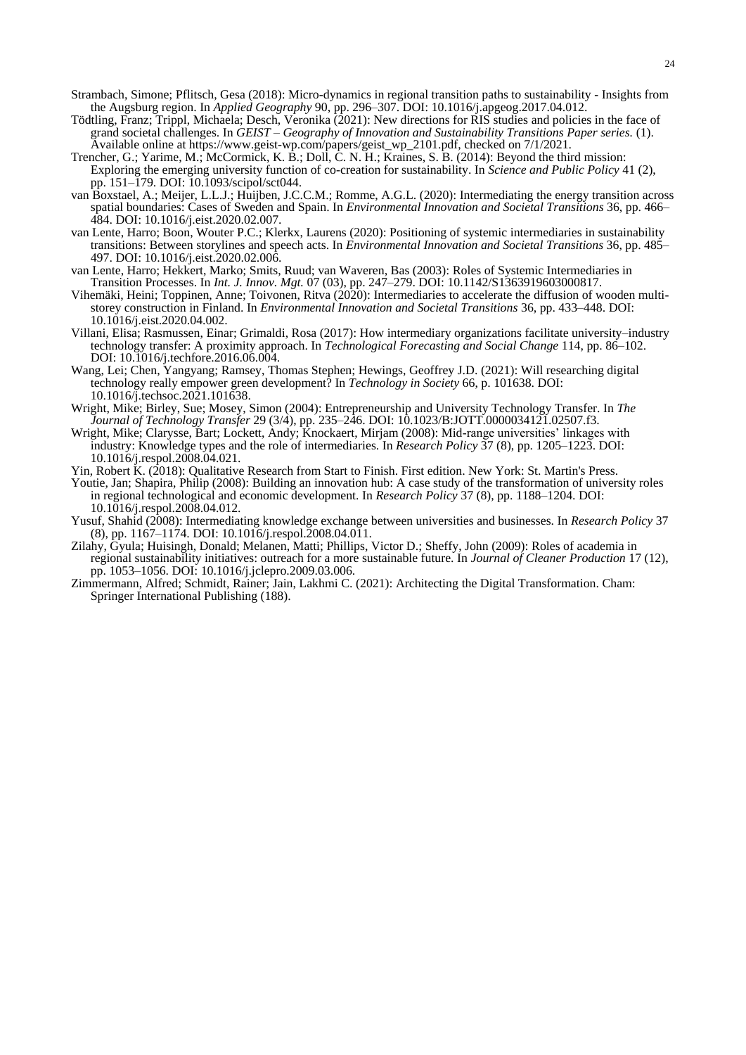- Strambach, Simone; Pflitsch, Gesa (2018): Micro-dynamics in regional transition paths to sustainability Insights from the Augsburg region. In *Applied Geography* 90, pp. 296–307. DOI: 10.1016/j.apgeog.2017.04.012.
- Tödtling, Franz; Trippl, Michaela; Desch, Veronika (2021): New directions for RIS studies and policies in the face of grand societal challenges. In *GEIST – Geography of Innovation and Sustainability Transitions Paper series.* (1). Available online at https://www.geist-wp.com/papers/geist\_wp\_2101.pdf, checked on 7/1/2021.
- Trencher, G.; Yarime, M.; McCormick, K. B.; Doll, C. N. H.; Kraines, S. B. (2014): Beyond the third mission: Exploring the emerging university function of co-creation for sustainability. In *Science and Public Policy* 41 (2), pp. 151–179. DOI: 10.1093/scipol/sct044.
- van Boxstael, A.; Meijer, L.L.J.; Huijben, J.C.C.M.; Romme, A.G.L. (2020): Intermediating the energy transition across spatial boundaries: Cases of Sweden and Spain. In *Environmental Innovation and Societal Transitions* 36, pp. 466– 484. DOI: 10.1016/j.eist.2020.02.007.
- van Lente, Harro; Boon, Wouter P.C.; Klerkx, Laurens (2020): Positioning of systemic intermediaries in sustainability transitions: Between storylines and speech acts. In *Environmental Innovation and Societal Transitions* 36, pp. 485– 497. DOI: 10.1016/j.eist.2020.02.006.
- van Lente, Harro; Hekkert, Marko; Smits, Ruud; van Waveren, Bas (2003): Roles of Systemic Intermediaries in Transition Processes. In *Int. J. Innov. Mgt.* 07 (03), pp. 247–279. DOI: 10.1142/S1363919603000817.
- Vihemäki, Heini; Toppinen, Anne; Toivonen, Ritva (2020): Intermediaries to accelerate the diffusion of wooden multistorey construction in Finland. In *Environmental Innovation and Societal Transitions* 36, pp. 433–448. DOI: 10.1016/j.eist.2020.04.002.
- Villani, Elisa; Rasmussen, Einar; Grimaldi, Rosa (2017): How intermediary organizations facilitate university–industry technology transfer: A proximity approach. In *Technological Forecasting and Social Change* 114, pp. 86–102. DOI: 10.1016/j.techfore.2016.06.004.
- Wang, Lei; Chen, Yangyang; Ramsey, Thomas Stephen; Hewings, Geoffrey J.D. (2021): Will researching digital technology really empower green development? In *Technology in Society* 66, p. 101638. DOI: 10.1016/j.techsoc.2021.101638.
- Wright, Mike; Birley, Sue; Mosey, Simon (2004): Entrepreneurship and University Technology Transfer. In *The Journal of Technology Transfer* 29 (3/4), pp. 235–246. DOI: 10.1023/B:JOTT.0000034121.02507.f3.
- Wright, Mike; Clarysse, Bart; Lockett, Andy; Knockaert, Mirjam (2008): Mid-range universities' linkages with industry: Knowledge types and the role of intermediaries. In *Research Policy* 37 (8), pp. 1205–1223. DOI: 10.1016/j.respol.2008.04.021.
- Yin, Robert K. (2018): Qualitative Research from Start to Finish. First edition. New York: St. Martin's Press.
- Youtie, Jan; Shapira, Philip (2008): Building an innovation hub: A case study of the transformation of university roles in regional technological and economic development. In *Research Policy* 37 (8), pp. 1188–1204. DOI: 10.1016/j.respol.2008.04.012.
- Yusuf, Shahid (2008): Intermediating knowledge exchange between universities and businesses. In *Research Policy* 37 (8), pp. 1167–1174. DOI: 10.1016/j.respol.2008.04.011.
- Zilahy, Gyula; Huisingh, Donald; Melanen, Matti; Phillips, Victor D.; Sheffy, John (2009): Roles of academia in regional sustainability initiatives: outreach for a more sustainable future. In *Journal of Cleaner Production* 17 (12), pp. 1053–1056. DOI: 10.1016/j.jclepro.2009.03.006.
- Zimmermann, Alfred; Schmidt, Rainer; Jain, Lakhmi C. (2021): Architecting the Digital Transformation. Cham: Springer International Publishing (188).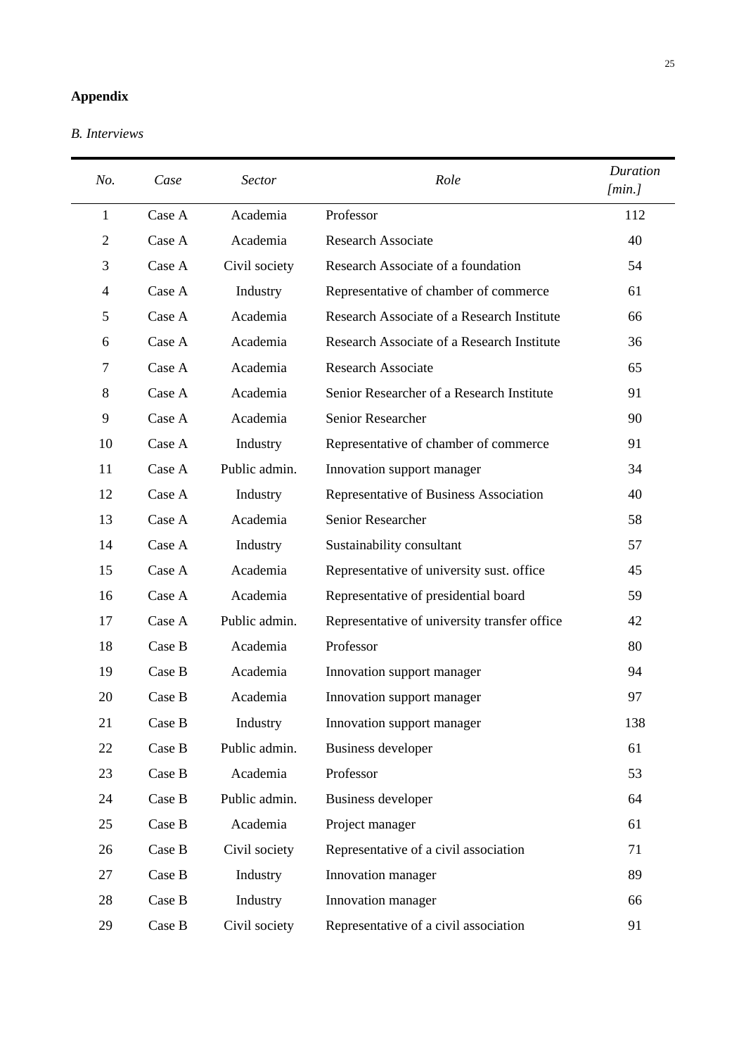# **Appendix**

*B. Interviews*

| No.                      | Case   | <b>Sector</b> | Role                                         | <b>Duration</b><br>[min.] |
|--------------------------|--------|---------------|----------------------------------------------|---------------------------|
| 1                        | Case A | Academia      | Professor                                    | 112                       |
| $\overline{2}$           | Case A | Academia      | <b>Research Associate</b>                    | 40                        |
| 3                        | Case A | Civil society | Research Associate of a foundation           | 54                        |
| $\overline{\mathcal{L}}$ | Case A | Industry      | Representative of chamber of commerce        | 61                        |
| 5                        | Case A | Academia      | Research Associate of a Research Institute   | 66                        |
| 6                        | Case A | Academia      | Research Associate of a Research Institute   | 36                        |
| $\tau$                   | Case A | Academia      | <b>Research Associate</b>                    | 65                        |
| 8                        | Case A | Academia      | Senior Researcher of a Research Institute    | 91                        |
| 9                        | Case A | Academia      | Senior Researcher                            | 90                        |
| 10                       | Case A | Industry      | Representative of chamber of commerce        | 91                        |
| 11                       | Case A | Public admin. | Innovation support manager                   | 34                        |
| 12                       | Case A | Industry      | Representative of Business Association       | 40                        |
| 13                       | Case A | Academia      | Senior Researcher                            | 58                        |
| 14                       | Case A | Industry      | Sustainability consultant                    | 57                        |
| 15                       | Case A | Academia      | Representative of university sust. office    | 45                        |
| 16                       | Case A | Academia      | Representative of presidential board         | 59                        |
| 17                       | Case A | Public admin. | Representative of university transfer office | 42                        |
| 18                       | Case B | Academia      | Professor                                    | 80                        |
| 19                       | Case B | Academia      | Innovation support manager                   | 94                        |
| 20                       | Case B | Academia      | Innovation support manager                   | 97                        |
| 21                       | Case B | Industry      | Innovation support manager                   | 138                       |
| 22                       | Case B | Public admin. | <b>Business developer</b>                    | 61                        |
| 23                       | Case B | Academia      | Professor                                    | 53                        |
| 24                       | Case B | Public admin. | <b>Business developer</b>                    | 64                        |
| 25                       | Case B | Academia      | Project manager                              | 61                        |
| 26                       | Case B | Civil society | Representative of a civil association        | 71                        |
| 27                       | Case B | Industry      | Innovation manager                           | 89                        |
| 28                       | Case B | Industry      | Innovation manager                           | 66                        |
| 29                       | Case B | Civil society | Representative of a civil association        | 91                        |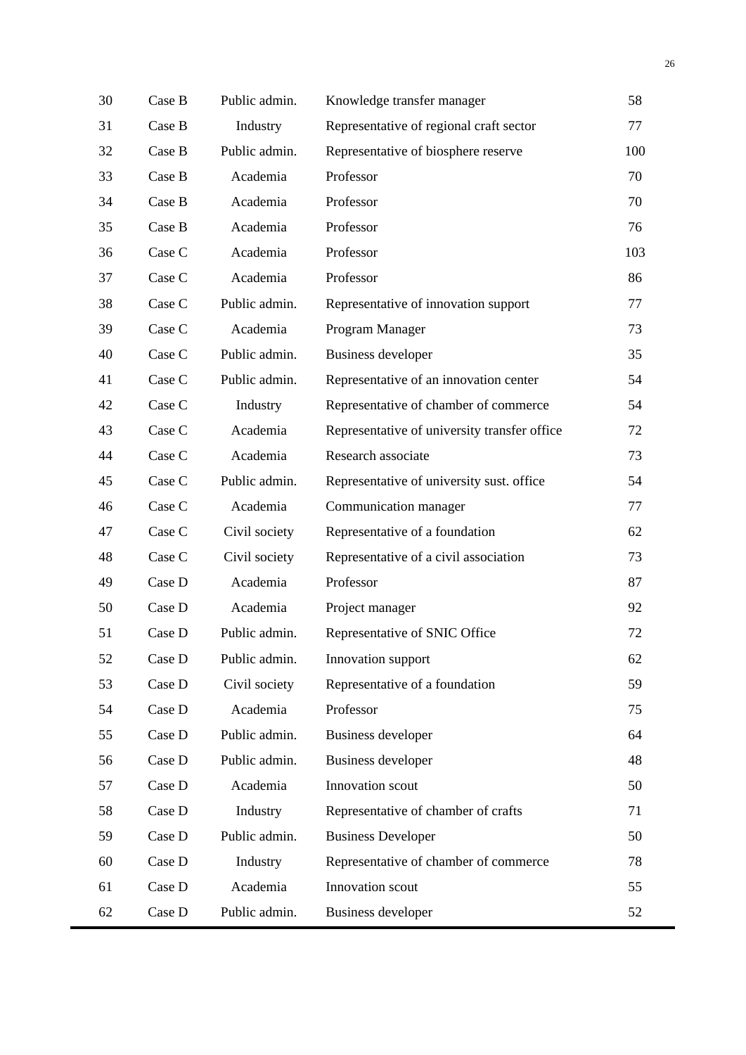| 30 | Case B | Public admin. | Knowledge transfer manager                   | 58  |
|----|--------|---------------|----------------------------------------------|-----|
| 31 | Case B | Industry      | Representative of regional craft sector      | 77  |
| 32 | Case B | Public admin. | Representative of biosphere reserve          | 100 |
| 33 | Case B | Academia      | Professor                                    | 70  |
| 34 | Case B | Academia      | Professor                                    | 70  |
| 35 | Case B | Academia      | Professor                                    | 76  |
| 36 | Case C | Academia      | Professor                                    | 103 |
| 37 | Case C | Academia      | Professor                                    | 86  |
| 38 | Case C | Public admin. | Representative of innovation support         | 77  |
| 39 | Case C | Academia      | Program Manager                              | 73  |
| 40 | Case C | Public admin. | <b>Business developer</b>                    | 35  |
| 41 | Case C | Public admin. | Representative of an innovation center       | 54  |
| 42 | Case C | Industry      | Representative of chamber of commerce        | 54  |
| 43 | Case C | Academia      | Representative of university transfer office | 72  |
| 44 | Case C | Academia      | Research associate                           | 73  |
| 45 | Case C | Public admin. | Representative of university sust. office    | 54  |
| 46 | Case C | Academia      | Communication manager                        | 77  |
| 47 | Case C | Civil society | Representative of a foundation               | 62  |
| 48 | Case C | Civil society | Representative of a civil association        | 73  |
| 49 | Case D | Academia      | Professor                                    | 87  |
| 50 | Case D | Academia      | Project manager                              | 92  |
| 51 | Case D | Public admin. | Representative of SNIC Office                | 72  |
| 52 | Case D | Public admin. | Innovation support                           | 62  |
| 53 | Case D | Civil society | Representative of a foundation               | 59  |
| 54 | Case D | Academia      | Professor                                    | 75  |
| 55 | Case D | Public admin. | <b>Business developer</b>                    | 64  |
| 56 | Case D | Public admin. | <b>Business developer</b>                    | 48  |
| 57 | Case D | Academia      | Innovation scout                             | 50  |
| 58 | Case D | Industry      | Representative of chamber of crafts          | 71  |
| 59 | Case D | Public admin. | <b>Business Developer</b>                    | 50  |
| 60 | Case D | Industry      | Representative of chamber of commerce        | 78  |
| 61 | Case D | Academia      | Innovation scout                             | 55  |
| 62 | Case D | Public admin. | <b>Business developer</b>                    | 52  |